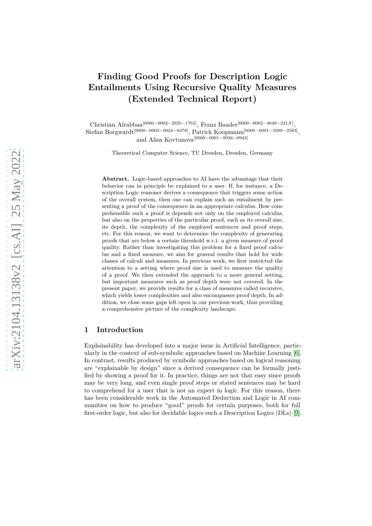# **Finding Good Proofs for Description Logic Entailments Using Recursive Quality Measures (Extended Technical Report)**

Christian Alrabbaa[0000−0002−2925−1765], Franz Baader[0000−0002−4049−221*X*] , Stefan Borgwardt[0000−0003−0924−8478], Patrick Koopmann[0000−0001−5999−2583] , and Alisa Kovtunova[0000−0001−9936−0943]

Theoretical Computer Science, TU Dresden, Dresden, Germany

**Abstract.** Logic-based approaches to AI have the advantage that their behavior can in principle be explained to a user. If, for instance, a Description Logic reasoner derives a consequence that triggers some action of the overall system, then one can explain such an entailment by presenting a proof of the consequence in an appropriate calculus. How comprehensible such a proof is depends not only on the employed calculus, but also on the properties of the particular proof, such as its overall size, its depth, the complexity of the employed sentences and proof steps, etc. For this reason, we want to determine the complexity of generating proofs that are below a certain threshold w.r.t. a given measure of proof quality. Rather than investigating this problem for a fixed proof calculus and a fixed measure, we aim for general results that hold for wide classes of calculi and measures. In previous work, we first restricted the attention to a setting where proof size is used to measure the quality of a proof. We then extended the approach to a more general setting, but important measures such as proof depth were not covered. In the present paper, we provide results for a class of measures called recursive, which yields lower complexities and also encompasses proof depth. In addition, we close some gaps left open in our previous work, thus providing a comprehensive picture of the complexity landscape.

# **1 Introduction**

Explainability has developed into a major issue in Artificial Intelligence, particularly in the context of sub-symbolic approaches based on Machine Learning [\[6\]](#page-15-0). In contrast, results produced by symbolic approaches based on logical reasoning are "explainable by design" since a derived consequence can be formally justified by showing a proof for it. In practice, things are not that easy since proofs may be very long, and even single proof steps or stated sentences may be hard to comprehend for a user that is not an expert in logic. For this reason, there has been considerable work in the Automated Deduction and Logic in AI communities on how to produce "good" proofs for certain purposes, both for full first-order logic, but also for decidable logics such a Description Logics (DLs) [\[9\]](#page-15-1).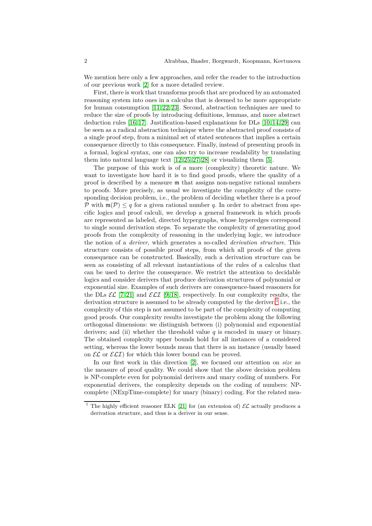We mention here only a few approaches, and refer the reader to the introduction of our previous work [\[2\]](#page-15-2) for a more detailed review.

First, there is work that transforms proofs that are produced by an automated reasoning system into ones in a calculus that is deemed to be more appropriate for human consumption [11, 22, [23\]](#page-16-0). Second, abstraction techniques are used to reduce the size of proofs by introducing definitions, lemmas, and more abstract deduction rules [16, 17]. Justification-based explanations for DLs [\[10,](#page-15-3) [14,](#page-16-1) [29\]](#page-17-0) can be seen as a radical abstraction technique where the abstracted proof consists of a single proof step, from a minimal set of stated sentences that implies a certain consequence directly to this consequence. Finally, instead of presenting proofs in a formal, logical syntax, one can also try to increase readability by translating them into natural language text [12, 25, 27, 28] or visualizing them [\[5\]](#page-15-4).

The purpose of this work is of a more (complexity) theoretic nature. We want to investigate how hard it is to find good proofs, where the quality of a proof is described by a measure m that assigns non-negative rational numbers to proofs. More precisely, as usual we investigate the complexity of the corresponding decision problem, i.e., the problem of deciding whether there is a proof P with  $\mathfrak{m}(\mathcal{P}) \leq q$  for a given rational number q. In order to abstract from specific logics and proof calculi, we develop a general framework in which proofs are represented as labeled, directed hypergraphs, whose hyperedges correspond to single sound derivation steps. To separate the complexity of generating good proofs from the complexity of reasoning in the underlying logic, we introduce the notion of a *deriver*, which generates a so-called *derivation structure*. This structure consists of possible proof steps, from which all proofs of the given consequence can be constructed. Basically, such a derivation structure can be seen as consisting of all relevant instantiations of the rules of a calculus that can be used to derive the consequence. We restrict the attention to decidable logics and consider derivers that produce derivation structures of polynomial or exponential size. Examples of such derivers are consequence-based reasoners for the DLs  $\mathcal{EL}$  [\[7,](#page-15-5) 21] and  $\mathcal{ELI}$  [\[9,](#page-15-1) 18], respectively. In our complexity results, the derivation structure is assumed to be already computed by the deriver,<sup>[1](#page-1-0)</sup> i.e., the complexity of this step is not assumed to be part of the complexity of computing good proofs. Our complexity results investigate the problem along the following orthogonal dimensions: we distinguish between (i) polynomial and exponential derivers; and (ii) whether the threshold value *q* is encoded in unary or binary. The obtained complexity upper bounds hold for all instances of a considered setting, whereas the lower bounds mean that there is an instance (usually based on  $\mathcal{EL}$  or  $\mathcal{ELI}$ ) for which this lower bound can be proved.

In our first work in this direction [\[2\]](#page-15-2), we focused our attention on *size* as the measure of proof quality. We could show that the above decision problem is NP-complete even for polynomial derivers and unary coding of numbers. For exponential derivers, the complexity depends on the coding of numbers: NPcomplete (NExpTime-complete) for unary (binary) coding. For the related mea-

<span id="page-1-0"></span><sup>&</sup>lt;sup>1</sup> The highly efficient reasoner ELK [21] for (an extension of)  $\mathcal{EL}$  actually produces a derivation structure, and thus is a deriver in our sense.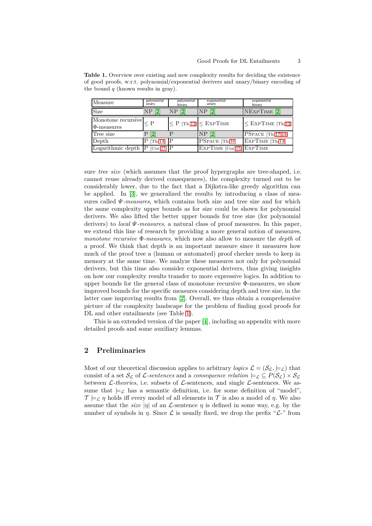<span id="page-2-0"></span>**Table 1.** Overview over existing and new complexity results for deciding the existence of good proofs, w.r.t. polynomial/exponential derivers and unary/binary encoding of the bound  $q$  (known results in gray).

| Measure                                                          | polynomial<br>unary                           | polynomial<br>binary | exponential<br>unary            | exponential<br>binary  |
|------------------------------------------------------------------|-----------------------------------------------|----------------------|---------------------------------|------------------------|
| Size                                                             | $N\mathrm{P}$<br>$\left\lceil 2 \right\rceil$ | NP <sub>2</sub>      | NP <sub>2</sub>                 | $NEXPTIME$ [2]         |
| $ \overline{\text{Monotone recursive}} $ < P<br>$\Phi$ -measures |                                               |                      | $\leq$ P [Th.12] $\leq$ EXPTIME | $\leq$ EXPTIME [Th.12] |
| Tree size                                                        | [2]                                           |                      | NP[2]                           | PSPACE [Th.17,18]      |
| Depth                                                            | [Th.14]                                       | 1P                   | PSPACE [Th.16]                  | EXPTIME [Th.14]        |
| Logarithmic depth P                                              | $ Cor.15 $ P                                  |                      | EXPTIME [Cor.15] EXPTIME        |                        |

sure *tree size* (which assumes that the proof hypergraphs are tree-shaped, i.e. cannot reuse already derived consequences), the complexity turned out to be considerably lower, due to the fact that a Dijkstra-like greedy algorithm can be applied. In [3], we generalized the results by introducing a class of measures called *Ψ-measures*, which contains both size and tree size and for which the same complexity upper bounds as for size could be shown for polynomial derivers. We also lifted the better upper bounds for tree size (for polynomial derivers) to *local Ψ-measures*, a natural class of proof measures. In this paper, we extend this line of research by providing a more general notion of measures, *monotone recursive* Φ*-measures*, which now also allow to measure the *depth* of a proof. We think that depth is an important measure since it measures how much of the proof tree a (human or automated) proof checker needs to keep in memory at the same time. We analyze these measures not only for polynomial derivers, but this time also consider exponential derivers, thus giving insights on how our complexity results transfer to more expressive logics. In addition to upper bounds for the general class of monotone recursive Φ-measures, we show improved bounds for the specific measures considering depth and tree size, in the latter case improving results from [\[2\]](#page-15-2). Overall, we thus obtain a comprehensive picture of the complexity landscape for the problem of finding good proofs for DL and other entailments (see Table [1\)](#page-2-0).

This is an extended version of the paper [\[4\]](#page-15-6), including an appendix with more detailed proofs and some auxiliary lemmas.

## **2 Preliminaries**

Most of our theoretical discussion applies to arbitrary *logics*  $\mathcal{L} = (\mathcal{S}_{\mathcal{L}}, \models_{\mathcal{L}})$  that consist of a set  $S_{\mathcal{L}}$  of  $\mathcal{L}$ -sentences and a *consequence relation*  $\models_{\mathcal{L}} \subseteq P(S_{\mathcal{L}}) \times S_{\mathcal{L}}$ between  $\mathcal{L}\text{-}theories$ , i.e. subsets of  $\mathcal{L}\text{-}sentences$ , and single  $\mathcal{L}\text{-}sentences$ . We assume that  $\models_{\mathcal{L}}$  has a semantic definition, i.e. for some definition of "model",  $\mathcal{T} \models_{\mathcal{L}} \eta$  holds iff every model of all elements in  $\mathcal{T}$  is also a model of  $\eta$ . We also assume that the *size*  $|\eta|$  of an *L*-sentence  $\eta$  is defined in some way, e.g. by the number of symbols in  $\eta$ . Since  $\mathcal L$  is usually fixed, we drop the prefix " $\mathcal L$ -" from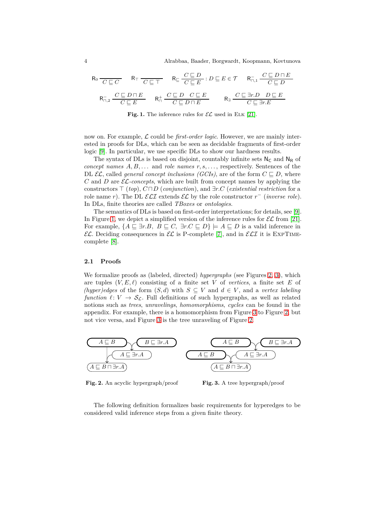4 Alrabbaa, Baader, Borgwardt, Koopmann, Kovtunova

$$
R_0 \n\begin{array}{c|c|c|c|c} & R_\top \n\hline\nC \sqsubseteq C & R_\top \n\end{array}\n\quad\nR_\Xi \n\begin{array}{c|c|c} & C \sqsubseteq D & \vdots \\
\hline\nC \sqsubseteq E & \vdots \\
\hline\nC \sqsubseteq E & \end{array}\n\quad\nR_\Xi \n\begin{array}{c|c|c} \n\hline\nC \sqsubseteq D & \vdots \\
\hline\nC \sqsubseteq D & \vdots \\
\hline\nC \sqsubseteq D \sqcap E & \end{array}\n\quad\nR_\Xi \n\begin{array}{c|c|c} \n\hline\nC \sqsubseteq \exists r.D & D \sqsubseteq E \\
\hline\nC \sqsubseteq \exists r.E & \end{array}
$$

<span id="page-3-0"></span>**Fig. 1.** The inference rules for  $\mathcal{EL}$  used in ELK [21].

now on. For example, L could be *first-order logic*. However, we are mainly interested in proofs for DLs, which can be seen as decidable fragments of first-order logic [\[9\]](#page-15-1). In particular, we use specific DLs to show our hardness results.

The syntax of DLs is based on disjoint, countably infinite sets  $N_c$  and  $N_R$  of *concept names*  $A, B, \ldots$  and *role names*  $r, s, \ldots$ , respectively. Sentences of the DL  $\mathcal{EL}$ , called *general concept inclusions (GCIs)*, are of the form  $C \sqsubseteq D$ , where *C* and *D* are  $\mathcal{EL}\text{-concepts}$ , which are built from concept names by applying the constructors ⊤ (*top*), *C* ⊓*D* (*conjunction*), and ∃*r.C* (*existential restriction* for a role name *r*). The DL  $\mathcal{ELI}$  extends  $\mathcal{EL}$  by the role constructor  $r^-$  (*inverse role*). In DLs, finite theories are called *TBoxes* or *ontologies*.

The semantics of DLs is based on first-order interpretations; for details, see [\[9\]](#page-15-1). In Figure [1,](#page-3-0) we depict a simplified version of the inference rules for  $\mathcal{EL}$  from [21]. For example,  $\{A \sqsubseteq \exists r.B, B \sqsubseteq C, \exists r.C \sqsubseteq D\} \models A \sqsubseteq D$  is a valid inference in  $\mathcal{EL}$ . Deciding consequences in  $\mathcal{EL}$  is P-complete [\[7\]](#page-15-5), and in  $\mathcal{ELI}$  it is EXPTIMEcomplete [\[8\]](#page-15-7).

## **2.1 Proofs**

We formalize proofs as (labeled, directed) *hypergraphs* (see Figures [2,](#page-3-1) [3\)](#page-3-2), which are tuples (*V, E, ℓ*) consisting of a finite set *V* of *vertices*, a finite set *E* of *(hyper)edges* of the form  $(S, d)$  with  $S ⊆ V$  and  $d ∈ V$ , and a *vertex labeling function*  $\ell: V \to \mathcal{S}_{\mathcal{L}}$ . Full definitions of such hypergraphs, as well as related notions such as *trees*, *unravelings*, *homomorphisms*, *cycles* can be found in the appendix. For example, there is a homomorphism from Figure [3](#page-3-2) to Figure [2,](#page-3-1) but not vice versa, and Figure [3](#page-3-2) is the tree unraveling of Figure [2.](#page-3-1)



<span id="page-3-1"></span>**Fig. 2.** An acyclic hypergraph/proof

<span id="page-3-2"></span>**Fig. 3.** A tree hypergraph/proof

The following definition formalizes basic requirements for hyperedges to be considered valid inference steps from a given finite theory.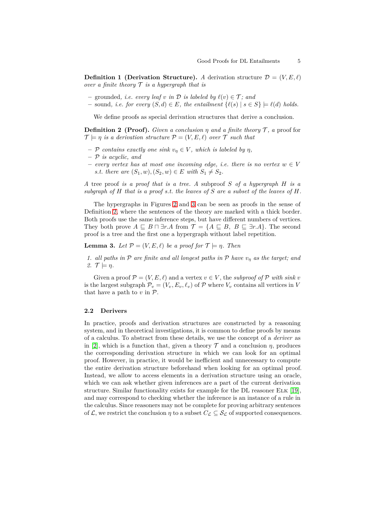**Definition 1 (Derivation Structure).** *A* derivation structure  $\mathcal{D} = (V, E, \ell)$ *over a finite theory* T *is a hypergraph that is*

- $-$  grounded, *i.e.* every leaf *v* in  $\mathcal{D}$  is labeled by  $\ell(v) \in \mathcal{T}$ ; and
- $-$  sound, *i.e. for every*  $(S, d) \in E$ , the entailment  $\{ \ell(s) \mid s \in S \} \models \ell(d)$  holds.

<span id="page-4-0"></span>We define proofs as special derivation structures that derive a conclusion.

**Definition 2 (Proof).** *Given a conclusion*  $\eta$  *and a finite theory*  $\mathcal{T}$ *, a* proof for  $\mathcal{T} \models \eta$  *is a derivation structure*  $\mathcal{P} = (V, E, \ell)$  *over*  $\mathcal{T}$  *such that* 

- $-$  P *contains exactly one sink*  $v_{\eta} \in V$ *, which is labeled by*  $\eta$ *,*
- **–** P *is acyclic, and*
- **–** *every vertex has at most one incoming edge, i.e. there is no vertex w* ∈ *V s.t. there are*  $(S_1, w), (S_2, w) \in E$  *with*  $S_1 \neq S_2$ *.*

*A* tree proof *is a proof that is a tree. A* subproof *S of a hypergraph H is a subgraph of H that is a proof s.t. the leaves of S are a subset of the leaves of H.*

The hypergraphs in Figures [2](#page-3-1) and [3](#page-3-2) can be seen as proofs in the sense of Definition [2,](#page-4-0) where the sentences of the theory are marked with a thick border. Both proofs use the same inference steps, but have different numbers of vertices. They both prove  $A \subseteq B \sqcap \exists r.A$  from  $\mathcal{T} = \{A \sqsubseteq B, B \sqsubseteq \exists r.A\}$ . The second proof is a tree and the first one a hypergraph without label repetition.

**Lemma 3.** *Let*  $P = (V, E, \ell)$  *be a proof for*  $T \models \eta$ *. Then* 

*1. all paths in* P *are finite and all longest paths in* P *have v<sup>η</sup> as the target; and* 2.  $\mathcal{T} \models \eta$ .

Given a proof  $\mathcal{P} = (V, E, \ell)$  and a vertex  $v \in V$ , the *subproof of*  $\mathcal{P}$  *with sink v* is the largest subgraph  $\mathcal{P}_v = (V_v, E_v, \ell_v)$  of  $\mathcal{P}$  where  $V_v$  contains all vertices in V that have a path to  $v$  in  $\mathcal{P}$ .

#### <span id="page-4-2"></span>**2.2 Derivers**

<span id="page-4-1"></span>In practice, proofs and derivation structures are constructed by a reasoning system, and in theoretical investigations, it is common to define proofs by means of a calculus. To abstract from these details, we use the concept of a *deriver* as in [\[2\]](#page-15-2), which is a function that, given a theory  $\mathcal T$  and a conclusion  $\eta$ , produces the corresponding derivation structure in which we can look for an optimal proof. However, in practice, it would be inefficient and unnecessary to compute the entire derivation structure beforehand when looking for an optimal proof. Instead, we allow to access elements in a derivation structure using an oracle, which we can ask whether given inferences are a part of the current derivation structure. Similar functionality exists for example for the DL reasoner Elk [\[19\]](#page-16-2), and may correspond to checking whether the inference is an instance of a rule in the calculus. Since reasoners may not be complete for proving arbitrary sentences of L, we restrict the conclusion  $\eta$  to a subset  $C_{\mathcal{L}} \subseteq \mathcal{S}_{\mathcal{L}}$  of supported consequences.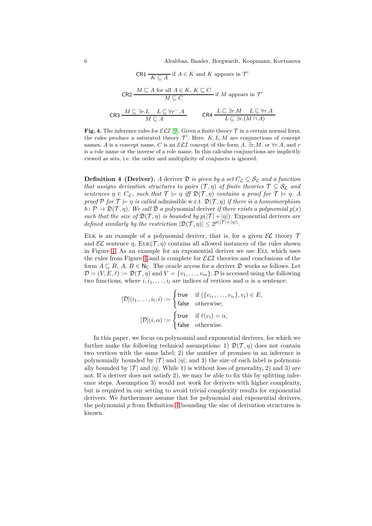$$
\text{CR1 } \frac{K \sqsubseteq A \text{ if } A \in K \text{ and } K \text{ appears in } \mathcal{T}'
$$
\n
$$
\text{CR2 } \frac{M \sqsubseteq A \text{ for all } A \in K, K \sqsubseteq C}{M \sqsubseteq C} \text{ if } M \text{ appears in } \mathcal{T}'
$$
\n
$$
\text{CR3 } \frac{M \sqsubseteq \exists r.L \quad L \sqsubseteq \forall r^- . A}{M \sqsubseteq A} \qquad \text{CR4 } \frac{L \sqsubseteq \exists r.M \quad L \sqsubseteq \forall r.A}{L \sqsubseteq \exists r.(M \sqcap A)}
$$

<span id="page-5-0"></span>**Fig. 4.** The inference rules for  $\mathcal{ELI}$  [\[9\]](#page-15-1). Given a finite theory  $\mathcal T$  in a certain normal form, the rules produce a saturated theory  $\mathcal{T}'$ . Here,  $K, L, M$  are conjunctions of concept names, *A* is a concept name, *C* is an  $\mathcal{ELI}$  concept of the form *A*,  $\exists r.M$ , or  $\forall r.A$ , and *r* is a role name or the inverse of a role name. In this calculus conjunctions are implicitly viewed as sets, i.e. the order and multiplicity of conjuncts is ignored.

**Definition 4 (Deriver).** *A* deriver  $\mathfrak{D}$  *is given by a set*  $C_{\mathcal{L}} \subseteq \mathcal{S}_{\mathcal{L}}$  *and a function that assigns derivation structures to pairs*  $(\mathcal{T}, \eta)$  *of finite theories*  $\mathcal{T} \subseteq \mathcal{S}_{\mathcal{L}}$  *and sentences*  $\eta \in C_{\mathcal{L}}$ , such that  $\mathcal{T} \models \eta$  *iff*  $\mathfrak{D}(\mathcal{T}, \eta)$  *contains a proof for*  $\mathcal{T} \models \eta$ *. A proof*  $P$  *for*  $T \models \eta$  *is called* admissible w.r.t.  $\mathfrak{D}(\mathcal{T}, \eta)$  *if there is a homomorphism*  $h: \mathcal{P} \to \mathfrak{D}(\mathcal{T}, \eta)$ *. We call*  $\mathfrak{D}$  *a* polynomial deriver *if there exists a polynomial*  $p(x)$ *such that the size of*  $\mathfrak{D}(\mathcal{T}, \eta)$  *is bounded by*  $p(|\mathcal{T}|+|\eta|)$ *.* Exponential derivers *are defined similarly by the restriction*  $|\mathfrak{D}(\mathcal{T}, \eta)| \leq 2^{p(|\mathcal{T}|+|\eta|)}$ .

ELK is an example of a polynomial deriver, that is, for a given  $\mathcal{EL}$  theory  $\mathcal T$ and  $\mathcal{EL}$  sentence *η*,  $ELK(\mathcal{T}, \eta)$  contains all allowed instances of the rules shown in Figure [1.](#page-3-0) As an example for an exponential deriver we use Eli, which uses the rules from Figure [4](#page-5-0) and is complete for  $\mathcal{ELI}$  theories and conclusions of the form  $A \sqsubseteq B$ ,  $A, B \in \mathbb{N}_{\mathbb{C}}$ . The oracle access for a deriver  $\mathfrak{D}$  works as follows. Let  $\mathcal{D} = (V, E, \ell) := \mathfrak{D}(\mathcal{T}, \eta)$  and  $V = \{v_1, \ldots, v_m\}$ .  $\mathcal{D}$  is accessed using the following two functions, where  $i, i_1, \ldots, i_l$  are indices of vertices and  $\alpha$  is a sentence:

$$
[\mathcal{D}](i_1,\ldots,i_l,i) := \begin{cases} \text{true} & \text{if } (\{v_{i_1},\ldots,v_{i_l}\},v_i) \in E, \\ \text{false} & \text{otherwise}; \end{cases}
$$

$$
[\mathcal{D}](i,\alpha) := \begin{cases} \text{true} & \text{if } \ell(v_i) = \alpha, \\ \text{false} & \text{otherwise}. \end{cases}
$$

In this paper, we focus on polynomial and exponential derivers, for which we further make the following technical assumptions: 1)  $\mathfrak{D}(\mathcal{T}, \eta)$  does not contain two vertices with the same label; 2) the number of premises in an inference is polynomially bounded by  $|\mathcal{T}|$  and  $|\eta|$ ; and 3) the size of each label is polynomially bounded by  $|\mathcal{T}|$  and  $|\eta|$ . While 1) is without loss of generality, 2) and 3) are not. If a deriver does not satisfy 2), we may be able to fix this by splitting inference steps. Assumption 3) would not work for derivers with higher complexity, but is required in our setting to avoid trivial complexity results for exponential derivers. We furthermore assume that for polynomial and exponential derivers, the polynomial *p* from Definition [4](#page-4-1) bounding the size of derivation structures is known.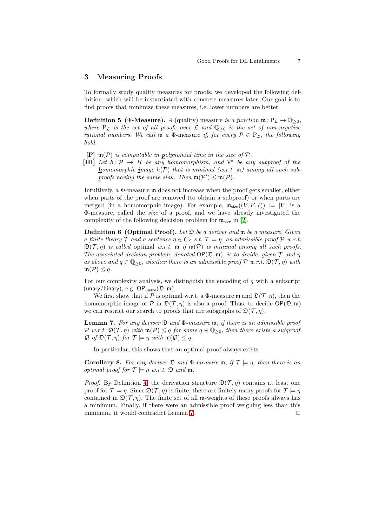## **3 Measuring Proofs**

To formally study quality measures for proofs, we developed the following definition, which will be instantiated with concrete measures later. Our goal is to find proofs that minimize these measures, i.e. lower numbers are better.

<span id="page-6-2"></span>**Definition 5 (** $\Phi$ **-Measure).** *A* (quality) measure *is a function*  $\mathfrak{m}: P_{\mathcal{L}} \to \mathbb{Q}_{\geq 0}$ , *where*  $P_{\mathcal{L}}$  *is the set of all proofs over*  $\mathcal{L}$  *and*  $\mathbb{Q}_{\geq 0}$  *is the set of non-negative rational numbers. We call*  $m a \Phi$ -measure *if, for every*  $P \in P_{\mathcal{L}}$ *, the following hold.*

- **[P]** m(P) *is computable in polynomial time in the size of* P*.*
- **[HI]** Let  $h: \mathcal{P} \rightarrow H$  be any homomorphism, and  $\mathcal{P}'$  be any subproof of the *homomorphic image*  $h(\mathcal{P})$  *that is minimal (w.r.t.*  $m$ ) *among all such sub*proofs having the same sink. Then  $\mathfrak{m}(\mathcal{P}') \leq \mathfrak{m}(\mathcal{P})$ .

Intuitively, a Φ-measure m does not increase when the proof gets smaller, either when parts of the proof are removed (to obtain a subproof) or when parts are merged (in a homomorphic image). For example,  $\mathfrak{m}_{\mathsf{size}}((V, E, \ell)) := |V|$  is a Φ-measure, called the *size* of a proof, and we have already investigated the complexity of the following deicision problem for  $\mathfrak{m}_{size}$  in [\[2\]](#page-15-2).

<span id="page-6-1"></span>**Definition 6 (Optimal Proof).** *Let* D *be a deriver and* m *be a measure. Given a finite theory*  $\mathcal{T}$  *and a sentence*  $\eta \in C_{\mathcal{L}}$  *s.t.*  $\mathcal{T} \models \eta$ *, an admissible proof*  $\mathcal{P}$  *w.r.t.*  $\mathfrak{D}(\mathcal{T}, \eta)$  *is called* optimal *w.r.t.* **m** *if*  $\mathfrak{m}(\mathcal{P})$  *is minimal among all such proofs. The associated decision problem, denoted*  $OP(\mathfrak{D}, \mathfrak{m})$ *, is to decide, given*  $\mathcal T$  *and*  $\eta$ *as above and*  $q \in \mathbb{Q}_{\geq 0}$ , whether there is an admissible proof  $\mathcal{P}$  w.r.t.  $\mathfrak{D}(\mathcal{T}, \eta)$  with  $\mathfrak{m}(\mathcal{P}) \leq q$ .

For our complexity analysis, we distinguish the encoding of *q* with a subscript (unary/binary), e.g. OPunary(D*,* m).

We first show that if P is optimal w.r.t. a  $\Phi$ -measure m and  $\mathfrak{D}(\mathcal{T}, \eta)$ , then the homomorphic image of  $P$  in  $\mathfrak{D}(\mathcal{T}, \eta)$  is also a proof. Thus, to decide  $\mathsf{OP}(\mathfrak{D}, \mathfrak{m})$ we can restrict our search to proofs that are subgraphs of  $\mathfrak{D}(\mathcal{T}, \eta)$ .

**Lemma 7.** *For any deriver* D *and* Φ*-measure* m*, if there is an admissible proof* P w.r.t.  $\mathfrak{D}(\mathcal{T}, \eta)$  with  $\mathfrak{m}(\mathcal{P}) \leq q$  for some  $q \in \mathbb{Q}_{\geq 0}$ , then there exists a subproof  $\mathcal{Q}$  *of*  $\mathfrak{D}(\mathcal{T}, \eta)$  *for*  $\mathcal{T} \models \eta$  *with*  $\mathfrak{m}(\mathcal{Q}) \leq q$ *.* 

<span id="page-6-3"></span><span id="page-6-0"></span>In particular, this shows that an optimal proof always exists.

**Corollary 8.** For any deriver  $\mathfrak{D}$  and  $\Phi$ -measure  $\mathfrak{m}$ , if  $\mathcal{T} \models \eta$ , then there is an *optimal proof for*  $\mathcal{T} \models \eta \ w.r.t. \ \mathfrak{D} \ and \ \mathfrak{m}.$ 

*Proof.* By Definition [4,](#page-4-1) the derivation structure  $\mathfrak{D}(\mathcal{T}, \eta)$  contains at least one proof for  $\mathcal{T} \models \eta$ . Since  $\mathfrak{D}(\mathcal{T}, \eta)$  is finite, there are finitely many proofs for  $\mathcal{T} \models \eta$ contained in  $\mathfrak{D}(\mathcal{T}, \eta)$ . The finite set of all m-weights of these proofs always has a minimum. Finally, if there were an admissible proof weighing less than this minimum, it would contradict Lemma [7.](#page-6-0) ⊓⊔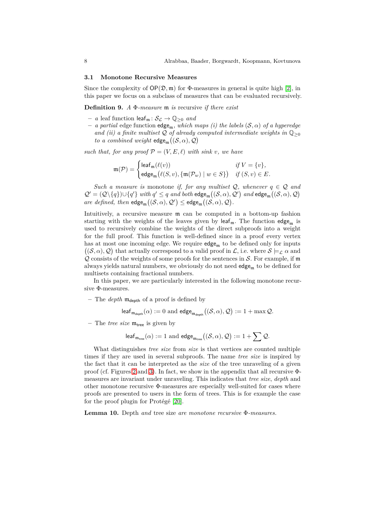#### **3.1 Monotone Recursive Measures**

Since the complexity of  $\mathsf{OP}(\mathfrak{D}, \mathfrak{m})$  for  $\Phi$ -measures in general is quite high [\[2\]](#page-15-2), in this paper we focus on a subclass of measures that can be evaluated recursively.

**Definition 9.** *A* Φ*-measure* m *is* recursive *if there exist*

- $− a$  leaf function leaf<sub>m</sub> :  $S_{\mathcal{L}} \to \mathbb{Q}_{\geq 0}$  and
- $-$  *a partial* edge function edge<sub>m</sub>, which maps (i) the labels  $(S, \alpha)$  of a hyperedge and (ii) a finite multiset Q of already computed intermediate weights in  $\mathbb{Q}_{\geq 0}$ *to a combined weight*  $\mathsf{edge}_{\mathfrak{m}}((\mathcal{S}, \alpha), \mathcal{Q})$

*such that, for any proof*  $P = (V, E, \ell)$  *with sink v, we have* 

$$
\mathfrak{m}(\mathcal{P}) = \begin{cases} \text{leaf}_{\mathfrak{m}}(\ell(v)) & \text{if } V = \{v\}, \\ \text{edge}_{\mathfrak{m}}(\ell(S, v), \{\mathfrak{m}(\mathcal{P}_w) \mid w \in S\}) & \text{if } (S, v) \in E. \end{cases}
$$

*Such a measure is* monotone *if, for any multiset*  $Q$ *, whenever*  $q \in Q$  *and*  $\mathcal{Q}' = (\mathcal{Q} \setminus \{q\}) \cup \{q'\}\$  *with*  $q' \leq q$  *and both* edge<sub>m</sub> $((\mathcal{S}, \alpha), \mathcal{Q}')$  *and* edge<sub>m</sub> $((\mathcal{S}, \alpha), \mathcal{Q})$ *are defined, then*  $edge_{m}((\mathcal{S}, \alpha), \mathcal{Q}') \leq edge_{m}((\mathcal{S}, \alpha), \mathcal{Q})$ .

Intuitively, a recursive measure m can be computed in a bottom-up fashion starting with the weights of the leaves given by leaf<sub>m</sub>. The function edge<sub>m</sub> is used to recursively combine the weights of the direct subproofs into a weight for the full proof. This function is well-defined since in a proof every vertex has at most one incoming edge. We require  $edge<sub>m</sub>$  to be defined only for inputs  $((\mathcal{S}, \alpha), \mathcal{Q})$  that actually correspond to a valid proof in  $\mathcal{L}$ , i.e. where  $\mathcal{S} \models_{\mathcal{L}} \alpha$  and  $Q$  consists of the weights of some proofs for the sentences in  $S$ . For example, if m always yields natural numbers, we obviously do not need  $\mathsf{edge}_m$  to be defined for multisets containing fractional numbers.

In this paper, we are particularly interested in the following monotone recursive Φ-measures.

– The *depth*  $m_{\text{death}}$  of a proof is defined by

$$
\mathsf{leaf}_{\mathfrak{m}_{\mathsf{depth}}}(\alpha) := 0 \text{ and } \mathsf{edge}_{\mathfrak{m}_{\mathsf{depth}}}((\mathcal{S}, \alpha), \mathcal{Q}) := 1 + \max \mathcal{Q}.
$$

– The *tree size*  $m_{tree}$  is given by

$$
\operatorname{\sf leaf}_{\mathfrak{m}_{\operatorname{tree}}}(\alpha) := 1 \text{ and } \operatorname{\sf edge}_{\mathfrak{m}_{\operatorname{tree}}}((\mathcal{S}, \alpha), \mathcal{Q}) := 1 + \sum \mathcal{Q}.
$$

What distinguishes *tree size* from *size* is that vertices are counted multiple times if they are used in several subproofs. The name *tree size* is inspired by the fact that it can be interpreted as the *size* of the tree unraveling of a given proof (cf. Figures [2](#page-3-1) and [3\)](#page-3-2). In fact, we show in the appendix that all recursive Φmeasures are invariant under unraveling. This indicates that *tree size*, *depth* and other monotone recursive Φ-measures are especially well-suited for cases where proofs are presented to users in the form of trees. This is for example the case for the proof plugin for Protégé [\[20\]](#page-16-3).

<span id="page-7-0"></span>**Lemma 10.** Depth *and* tree size *are monotone recursive* Φ*-measures.*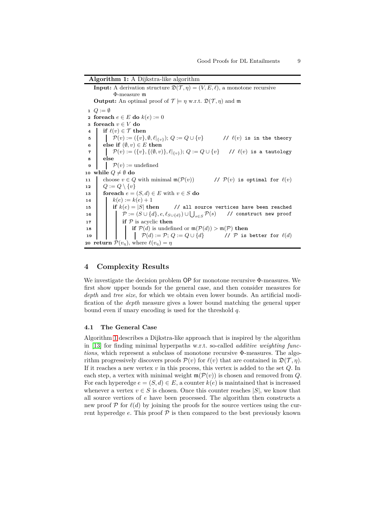**Algorithm 1:** A Dijkstra-like algorithm

<span id="page-8-3"></span><span id="page-8-2"></span>**Input:** A derivation structure  $\mathfrak{D}(\mathcal{T}, \eta) = (V, E, \ell)$ , a monotone recursive Φ-measure m **Output:** An optimal proof of  $\mathcal{T} \models \eta$  w.r.t.  $\mathfrak{D}(\mathcal{T}, \eta)$  and m  $Q := \emptyset$  **foreach**  $e \in E$  **do**  $k(e) := 0$  **foreach**  $v \in V$  **do if**  $\ell(v) \in \mathcal{T}$  **then**   $\vert \quad \vert \quad \mathcal{P}(v) := (\{v\}, \emptyset, \ell|_{\{v\}}); Q := Q \cup \{v\} \quad \vert \quad \textit{if } \ell(v) \text{ is in the theory}$  **else if**  $(\emptyset, v) \in E$  **then**   $\vert$   $\vert$   $\vert$   $\mathcal{P}(v) := (\{v\}, \{(\emptyset, v)\}, \ell|_{\{v\}});$  *Q* := *Q* ∪  $\{v\}$  //  $\ell(v)$  is a tautology **<sup>8</sup> else**  $\mathcal{P}(v) :=$  undefined while  $Q \neq \emptyset$  do choose  $v \in Q$  with minimal  $\mathfrak{m}(\mathcal{P}(v))$  //  $\mathcal{P}(v)$  is optimal for  $\ell(v)$  $Q := Q \setminus \{v\}$  **foreach**  $e = (S, d) \in E$  with  $v \in S$  **do**  $k(e) := k(e) + 1$  **if**  $k(e) = |S|$  **then** // all source vertices have been reached  $\mathcal{P} := (S \cup \{d\}, e, \ell_{S \cup \{d\}}) \cup \bigcup_{s \in S}$ P(*s*) // construct new proof **if**  $P$  is acyclic **then i if**  $\mathcal{P}(d)$  is undefined or  $\mathfrak{m}(\mathcal{P}(d)) > \mathfrak{m}(\mathcal{P})$  then  $\begin{bmatrix} \phantom{a} \end{bmatrix}$   $\begin{bmatrix} \phantom{a} \end{bmatrix}$   $\begin{bmatrix} P(d) := P; Q := Q \cup \{d\} \end{bmatrix}$  // P is better for  $\ell(d)$ **return**  $\mathcal{P}(v_{\eta})$ , where  $\ell(v_{\eta}) = \eta$ 

# <span id="page-8-8"></span><span id="page-8-7"></span><span id="page-8-6"></span><span id="page-8-5"></span><span id="page-8-4"></span><span id="page-8-1"></span><span id="page-8-0"></span>**4 Complexity Results**

We investigate the decision problem OP for monotone recursive Φ-measures. We first show upper bounds for the general case, and then consider measures for *depth* and *tree size*, for which we obtain even lower bounds. An artificial modification of the *depth* measure gives a lower bound matching the general upper bound even if unary encoding is used for the threshold *q*.

#### **4.1 The General Case**

Algorithm [1](#page-8-0) describes a Dijkstra-like approach that is inspired by the algorithm in [13] for finding minimal hyperpaths w.r.t. so-called *additive weighting functions*, which represent a subclass of monotone recursive Φ-measures. The algorithm progressively discovers proofs  $\mathcal{P}(v)$  for  $\ell(v)$  that are contained in  $\mathfrak{D}(\mathcal{T}, \eta)$ . If it reaches a new vertex *v* in this process, this vertex is added to the set *Q*. In each step, a vertex with minimal weight  $\mathfrak{m}(\mathcal{P}(v))$  is chosen and removed from *Q*. For each hyperedge  $e = (S, d) \in E$ , a counter  $k(e)$  is maintained that is increased whenever a vertex  $v \in S$  is chosen. Once this counter reaches  $|S|$ , we know that all source vertices of *e* have been processed. The algorithm then constructs a new proof  $P$  for  $\ell(d)$  by joining the proofs for the source vertices using the current hyperedge  $e$ . This proof  $P$  is then compared to the best previously known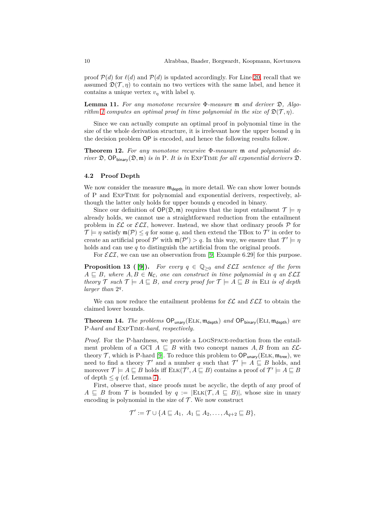proof  $P(d)$  for  $\ell(d)$  and  $P(d)$  is updated accordingly. For Line [20,](#page-8-1) recall that we assumed  $\mathfrak{D}(\mathcal{T},\eta)$  to contain no two vertices with the same label, and hence it contains a unique vertex  $v_n$  with label  $\eta$ .

**Lemma 11.** *For any monotone recursive* Φ*-measure* m *and deriver* D*, Algorithm* [1](#page-8-0) *computes an optimal proof in time polynomial in the size of*  $\mathfrak{D}(\mathcal{T}, \eta)$ *.* 

Since we can actually compute an optimal proof in polynomial time in the size of the whole derivation structure, it is irrelevant how the upper bound *q* in the decision problem OP is encoded, and hence the following results follow.

<span id="page-9-0"></span>**Theorem 12.** *For any monotone recursive* Φ*-measure* m *and polynomial deriver*  $\mathfrak{D}$ *,*  $OP_{\text{binary}}(\mathfrak{D}, \mathfrak{m})$  *is in* P*. It is in* EXPTIME *for all exponential derivers*  $\mathfrak{D}$ *.* 

## **4.2 Proof Depth**

We now consider the measure  $m_{\text{depth}}$  in more detail. We can show lower bounds of P and ExpTime for polynomial and exponential derivers, respectively, although the latter only holds for upper bounds *q* encoded in binary.

Since our definition of  $\mathsf{OP}(\mathfrak{D}, \mathfrak{m})$  requires that the input entailment  $\mathcal{T} \models \eta$ already holds, we cannot use a straightforward reduction from the entailment problem in  $\mathcal{EL}$  or  $\mathcal{ELI}$ , however. Instead, we show that ordinary proofs  $\mathcal P$  for  $\mathcal{T} \models \eta$  satisfy  $\mathfrak{m}(\mathcal{P}) \leq q$  for some q, and then extend the TBox to  $\mathcal{T}'$  in order to create an artificial proof  $\mathcal{P}'$  with  $\mathfrak{m}(\mathcal{P}') > q$ . In this way, we ensure that  $\mathcal{T}' \models \eta$ holds and can use *q* to distinguish the artificial from the original proofs.

<span id="page-9-2"></span>For  $\mathcal{ELI}$ , we can use an observation from [\[9,](#page-15-1) Example 6.29] for this purpose.

**Proposition 13 ([9]).** For every  $q \in \mathbb{Q}_{\geq 0}$  and  $\mathcal{ELI}$  sentence of the form  $A \subseteq B$ , where  $A, B \in \mathcal{N}_C$ , one can construct in time polynomial in q an  $\mathcal{ELI}$ *theory*  $\mathcal{T}$  *such*  $\mathcal{T} \models A \sqsubseteq B$ *, and every proof for*  $\mathcal{T} \models A \sqsubseteq B$  *in* ELI *is of depth* larger than  $2<sup>q</sup>$ .

<span id="page-9-1"></span>We can now reduce the entailment problems for  $\mathcal{EL}$  and  $\mathcal{ELI}$  to obtain the claimed lower bounds.

**Theorem 14.** *The problems* OPunary(Elk*,* mdepth) *and* OPbinary(Eli*,* mdepth) *are* P*-hard and* ExpTime*-hard, respectively.*

*Proof.* For the P-hardness, we provide a LOGSPACE-reduction from the entailment problem of a GCI  $A \subseteq B$  with two concept names  $A, B$  from an  $\mathcal{EL}$ theory  $\mathcal T$ , which is P-hard [\[9\]](#page-15-1). To reduce this problem to  $\mathsf{OP}_{\text{unarv}}(ELK, \mathfrak{m}_{\text{tree}})$ , we need to find a theory  $\mathcal{T}'$  and a number q such that  $\mathcal{T}' \models A \sqsubseteq B$  holds, and moreover  $\mathcal{T} \models A \sqsubseteq B$  holds iff  $\text{ELK}(\mathcal{T}', A \sqsubseteq B)$  contains a proof of  $\mathcal{T}' \models A \sqsubseteq B$ of depth  $\leq q$  (cf. Lemma [7\)](#page-6-0).

First, observe that, since proofs must be acyclic, the depth of any proof of  $A \subseteq B$  from  $\mathcal T$  is bounded by  $q := |\text{ELK}(\mathcal T, A \subseteq B)|$ , whose size in unary encoding is polynomial in the size of  $\mathcal T$ . We now construct

$$
\mathcal{T}' := \mathcal{T} \cup \{ A \sqsubseteq A_1, \ A_1 \sqsubseteq A_2, \dots, A_{q+2} \sqsubseteq B \},\
$$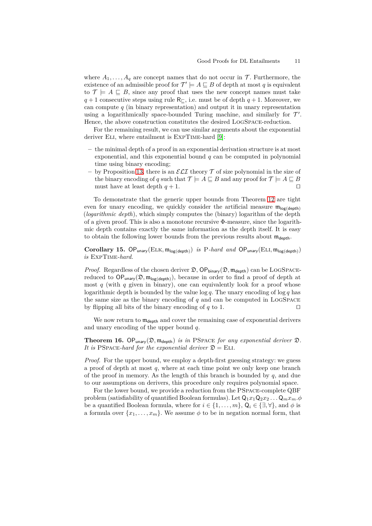where  $A_1, \ldots, A_q$  are concept names that do not occur in  $\mathcal T$ . Furthermore, the existence of an admissible proof for  $\mathcal{T}' \models A \sqsubseteq B$  of depth at most q is equivalent to  $\mathcal{T} \models A \sqsubseteq B$ , since any proof that uses the new concept names must take *q* + 1 consecutive steps using rule  $R_\nsubseteq$ , i.e. must be of depth *q* + 1. Moreover, we can compute  $q$  (in binary representation) and output it in unary representation using a logarithmically space-bounded Turing machine, and similarly for  $\mathcal{T}'$ . Hence, the above construction constitutes the desired LogSpace-reduction.

For the remaining result, we can use similar arguments about the exponential deriver ELI, where entailment is EXPTIME-hard [\[9\]](#page-15-1):

- **–** the minimal depth of a proof in an exponential derivation structure is at most exponential, and this exponential bound *q* can be computed in polynomial time using binary encoding;
- by Proposition [13,](#page-9-2) there is an  $\mathcal{ELI}$  theory  $\mathcal T$  of size polynomial in the size of the binary encoding of *q* such that  $\mathcal{T} \models A \sqsubseteq B$  and any proof for  $\mathcal{T} \models A \sqsubseteq B$ must have at least depth  $q + 1$ . □

To demonstrate that the generic upper bounds from Theorem [12](#page-9-0) are tight even for unary encoding, we quickly consider the artificial measure  $m_{\text{log(denth)}}$ (*logarithmic depth*), which simply computes the (binary) logarithm of the depth of a given proof. This is also a monotone recursive Φ-measure, since the logarithmic depth contains exactly the same information as the depth itself. It is easy to obtain the following lower bounds from the previous results about  $m_{\text{death}}$ .

<span id="page-10-1"></span>**Corollary 15.** OP<sub>unary</sub> $(ELK, m_{\text{log(denth)}})$  *is* P-*hard and* OP<sub>unary</sub> $(ELI, m_{\text{log(denth)}})$ *is* ExpTime*-hard.*

*Proof.* Regardless of the chosen deriver  $\mathfrak{D}$ ,  $OP_{\text{binary}}(\mathfrak{D}, \mathfrak{m}_{\text{depth}})$  can be LOGSPACEreduced to  $OP_{unary}(\mathfrak{D}, \mathfrak{m}_{log(depth)})$ , because in order to find a proof of depth at most  $q$  (with  $q$  given in binary), one can equivalently look for a proof whose logarithmic depth is bounded by the value  $\log q$ . The unary encoding of  $\log q$  has the same size as the binary encoding of  $q$  and can be computed in LOGSPACE by flipping all bits of the binary encoding of *q* to 1. □

<span id="page-10-0"></span>We now return to  $m_{\text{death}}$  and cover the remaining case of exponential derivers and unary encoding of the upper bound *q*.

**Theorem 16.** OP<sub>unary</sub> $(\mathfrak{D}, \mathfrak{m}_{\text{depth}})$  *is in* PSPACE *for any exponential deriver*  $\mathfrak{D}$ *.* It is PSPACE-hard for the exponential deriver  $\mathfrak{D} =$  ELI.

*Proof.* For the upper bound, we employ a depth-first guessing strategy: we guess a proof of depth at most *q*, where at each time point we only keep one branch of the proof in memory. As the length of this branch is bounded by  $q$ , and due to our assumptions on derivers, this procedure only requires polynomial space.

For the lower bound, we provide a reduction from the PSpace-complete QBF problem (satisfiability of quantified Boolean formulas). Let  $Q_1x_1Q_2x_2 \ldots Q_mx_m.\phi$ be a quantified Boolean formula, where for  $i \in \{1, \ldots, m\}$ ,  $\mathsf{Q}_i \in \{\exists, \forall\}$ , and  $\phi$  is a formula over  $\{x_1, \ldots, x_m\}$ . We assume  $\phi$  to be in negation normal form, that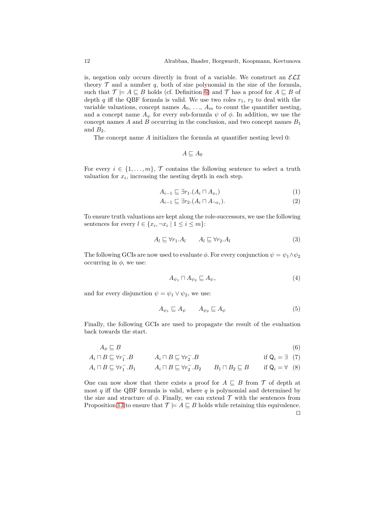is, negation only occurs directly in front of a variable. We construct an  $\mathcal{ELI}$ theory  $\mathcal T$  and a number  $q$ , both of size polynomial in the size of the formula, such that  $\mathcal{T} \models A \sqsubseteq B$  holds (cf. Definition [6\)](#page-6-1) and  $\mathcal{T}$  has a proof for  $A \sqsubseteq B$  of depth  $q$  iff the QBF formula is valid. We use two roles  $r_1$ ,  $r_2$  to deal with the variable valuations, concept names  $A_0, \ldots, A_m$  to count the quantifier nesting, and a concept name  $A_{\psi}$  for every sub-formula  $\psi$  of  $\phi$ . In addition, we use the concept names *A* and *B* occurring in the conclusion, and two concept names *B*<sup>1</sup> and  $B_2$ .

The concept name *A* initializes the formula at quantifier nesting level 0:

$$
A \sqsubseteq A_0
$$

For every  $i \in \{1, \ldots, m\}, \mathcal{T}$  contains the following sentence to select a truth valuation for  $x_i$ , increasing the nesting depth in each step.

$$
A_{i-1} \sqsubseteq \exists r_1. (A_i \sqcap A_{x_i}) \tag{1}
$$

$$
A_{i-1} \sqsubseteq \exists r_2. (A_i \sqcap A_{\neg x_i}). \tag{2}
$$

To ensure truth valuations are kept along the role-successors, we use the following sentences for every  $l \in \{x_i, \neg x_i \mid 1 \le i \le m\}$ :

$$
A_l \sqsubseteq \forall r_1.A_l \qquad A_l \sqsubseteq \forall r_2.A_l \tag{3}
$$

The following GCIs are now used to evaluate  $\phi$ . For every conjunction  $\psi = \psi_1 \wedge \psi_2$ occurring in  $\phi$ , we use:

$$
A_{\psi_1} \sqcap A_{\psi_2} \sqsubseteq A_{\psi},\tag{4}
$$

and for every disjunction  $\psi = \psi_1 \vee \psi_2$ , we use:

$$
A_{\psi_1} \sqsubseteq A_{\psi} \qquad A_{\psi_2} \sqsubseteq A_{\psi} \tag{5}
$$

Finally, the following GCIs are used to propagate the result of the evaluation back towards the start.

$$
A_{\phi} \sqsubseteq B \tag{6}
$$

$$
A_i \sqcap B \sqsubseteq \forall r_1^- . B \qquad A_i \sqcap B \sqsubseteq \forall r_2^- . B \qquad \text{if } Q_i = \exists \tag{7}
$$

$$
A_i \sqcap B \sqsubseteq \forall r_1^- . B_1 \qquad A_i \sqcap B \sqsubseteq \forall r_2^- . B_2 \qquad B_1 \sqcap B_2 \sqsubseteq B \qquad \text{if } Q_i = \forall \ (8)
$$

One can now show that there exists a proof for  $A \subseteq B$  from  $\mathcal T$  of depth at most  $q$  iff the QBF formula is valid, where  $q$  is polynomial and determined by the size and structure of  $\phi$ . Finally, we can extend  $\mathcal T$  with the sentences from Proposition [13](#page-9-2) to ensure that  $\mathcal{T} \models A \sqsubseteq B$  holds while retaining this equivalence. ⊓⊔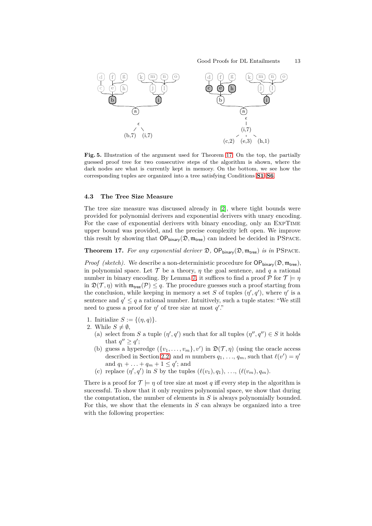

<span id="page-12-1"></span>**Fig. 5.** Illustration of the argument used for Theorem [17.](#page-12-0) On the top, the partially guessed proof tree for two consecutive steps of the algorithm is shown, where the dark nodes are what is currently kept in memory. On the bottom, we see how the corresponding tuples are organized into a tree satisfying Conditions **[S1](#page-13-1)**–**[S6](#page-13-2)**.

#### **4.3 The Tree Size Measure**

The tree size measure was discussed already in [\[2\]](#page-15-2), where tight bounds were provided for polynomial derivers and exponential derivers with unary encoding. For the case of exponential derivers with binary encoding, only an ExpTime upper bound was provided, and the precise complexity left open. We improve this result by showing that  $OP_{\text{binary}}(\mathcal{D}, \mathfrak{m}_{\text{tree}})$  can indeed be decided in PSPACE.

<span id="page-12-0"></span>**Theorem 17.** For any exponential deriver  $\mathfrak{D}$ ,  $OP_{\text{binary}}(\mathfrak{D}, \mathfrak{m}_{\text{tree}})$  *is in* PSpace.

*Proof (sketch).* We describe a non-deterministic procedure for  $OP_{\text{binary}}(\mathfrak{D}, \mathfrak{m}_{\text{tree}})$ , in polynomial space. Let  $\mathcal T$  be a theory,  $\eta$  the goal sentence, and  $q$  a rational number in binary encoding. By Lemma [7,](#page-6-0) it suffices to find a proof  $P$  for  $T \models \eta$ in  $\mathfrak{D}(\mathcal{T}, \eta)$  with  $\mathfrak{m}_{\text{tree}}(\mathcal{P}) \leq q$ . The procedure guesses such a proof starting from the conclusion, while keeping in memory a set *S* of tuples  $(\eta', q')$ , where  $\eta'$  is a sentence and  $q' \leq q$  a rational number. Intuitively, such a tuple states: "We still need to guess a proof for  $\eta'$  of tree size at most  $q'$ ."

- 1. Initialize  $S := \{(\eta, q)\}.$
- 2. While  $S \neq \emptyset$ ,
	- (a) select from *S* a tuple  $(\eta', q')$  such that for all tuples  $(\eta'', q'') \in S$  it holds that  $q'' \geq q'$ ;
	- (b) guess a hyperedge  $({v_1, \ldots, v_m}, v')$  in  $\mathfrak{D}(\mathcal{T}, \eta)$  (using the oracle access described in Section [2.2\)](#page-4-2) and *m* numbers  $q_1, \ldots, q_m$ , such that  $\ell(v') = \eta'$ and  $q_1 + ... + q_m + 1 \leq q'$ ; and
	- (c) replace  $(\eta', q')$  in *S* by the tuples  $(\ell(v_1), q_1), \ldots, (\ell(v_m), q_m)$ .

There is a proof for  $\mathcal{T} \models \eta$  of tree size at most q iff every step in the algorithm is successful. To show that it only requires polynomial space, we show that during the computation, the number of elements in *S* is always polynomially bounded. For this, we show that the elements in *S* can always be organized into a tree with the following properties: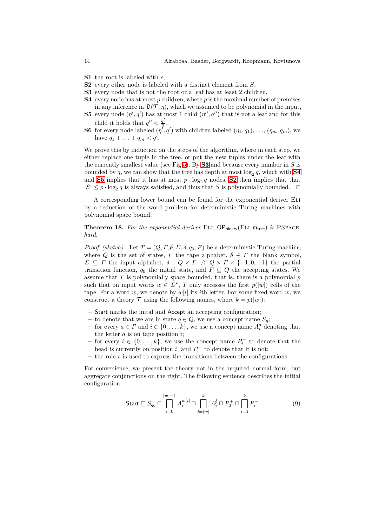- <span id="page-13-6"></span><span id="page-13-1"></span>**S1** the root is labeled with  $\epsilon$ ,
- <span id="page-13-3"></span>**S2** every other node is labeled with a distinct element from *S*,
- <span id="page-13-4"></span>**S3** every node that is not the root or a leaf has at least 2 children,
- **S4** every node has at most *p* children, where *p* is the maximal number of premises in any inference in  $\mathfrak{D}(\mathcal{T}, \eta)$ , which we assumed to be polynomial in the input,
- <span id="page-13-5"></span>**S5** every node  $(\eta', q')$  has at most 1 child  $(\eta'', q'')$  that is not a leaf and for this child it holds that  $q'' < \frac{q'}{2}$  $\frac{1}{2}$ ,
- <span id="page-13-2"></span>**S6** for every node labeled  $(\eta^{\bar{r}}, q^{\prime})$  with children labeled  $(\eta_1, q_1), \ldots, (\eta_m, q_m)$ , we have  $q_1 + ... + q_m < q'$ .

We prove this by induction on the steps of the algorithm, where in each step, we either replace one tuple in the tree, or put the new tuples under the leaf with the currently smallest value (see Fig[.5\)](#page-12-1). By **[S3](#page-13-3)** and because every number in *S* is bounded by  $q$ , we can show that the tree has depth at most  $\log_2 q$ , which with  $S4$ and **[S5](#page-13-5)** implies that it has at most  $p \cdot \log_2 q$  nodes. **[S2](#page-13-6)** then implies that that  $|S| \leq p \cdot \log_2 q$  is always satisfied, and thus that *S* is polynomially bounded. □

A corresponding lower bound can be found for the exponential deriver Eli by a reduction of the word problem for deterministic Turing machines with polynomial space bound.

# <span id="page-13-0"></span>Theorem 18. For the exponential deriver ELI,  $OP_{\text{binary}}(ELI, \mathfrak{m}_{\text{tree}})$  is PSPACE*hard.*

*Proof (sketch).* Let  $T = (Q, \Gamma, \cancel{b}, \Sigma, \delta, q_0, F)$  be a deterministic Turing machine, where  $Q$  is the set of states,  $\Gamma$  the tape alphabet,  $\cancel{p} \in \Gamma$  the blank symbol, *Σ*  $\subseteq$  *Γ* the input alphabet,  $\delta$  :  $Q \times \Gamma \nrightarrow Q \times \Gamma \times \{-1, 0, +1\}$  the partial transition function,  $q_0$  the initial state, and  $F \subseteq Q$  the accepting states. We assume that *T* is polynomially space bounded, that is, there is a polynomial *p* such that on input words  $w \in \Sigma^*$ , *T* only accesses the first  $p(|w|)$  cells of the tape. For a word *w*, we denote by  $w[i]$  its *i*th letter. For some fixed word *w*, we construct a theory  $\mathcal T$  using the following names, where  $k = p(|w|)$ :

- **–** Start marks the inital and Accept an accepting configuration;
- **–** to denote that we are in state *q* ∈ *Q*, we use a concept name *Sq*;
- $−$  for every  $a \in \Gamma$  and  $i \in \{0, \ldots, k\}$ , we use a concept name  $A_i^a$  denoting that the letter *a* is on tape position *i*;
- $−$  for every  $i \in \{0, \ldots, k\}$ , we use the concept name  $P_i^+$  to denote that the head is currently on position *i*, and  $P_i^-$  to denote that it is not;
- **–** the role *r* is used to express the transitions between the configurations.

For convenience, we present the theory not in the required normal form, but aggregate conjunctions on the right. The following sentence describes the initial configuration.

<span id="page-13-7"></span>Start 
$$
\subseteq S_{q_0} \sqcap \prod_{i=0}^{|w|-1} A_i^{w[i]} \sqcap \prod_{i=|w|}^k A_i^{\not p} \sqcap P_0^+ \sqcap \prod_{i=1}^k P_i^-
$$
 (9)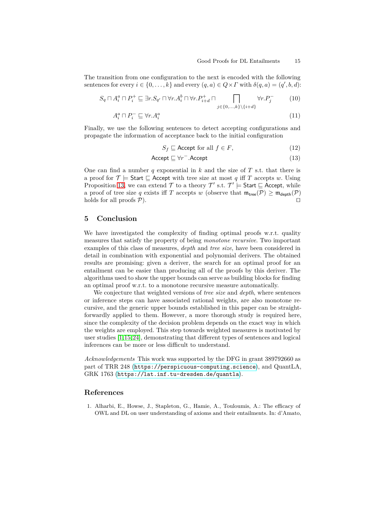The transition from one configuration to the next is encoded with the following sentences for every  $i \in \{0, \ldots, k\}$  and every  $(q, a) \in Q \times \Gamma$  with  $\delta(q, a) = (q', b, d)$ :

$$
S_q \sqcap A_i^a \sqcap P_i^+ \sqsubseteq \exists r. S_{q'} \sqcap \forall r. A_i^b \sqcap \forall r. P_{i+d}^+ \sqcap \prod_{j \in \{0, ..., k\} \setminus \{i+d\}} \forall r. P_j^- \tag{10}
$$

$$
A_i^a \sqcap P_i^- \sqsubseteq \forall r. A_i^a \tag{11}
$$

Finally, we use the following sentences to detect accepting configurations and propagate the information of acceptance back to the initial configuration

<span id="page-14-3"></span><span id="page-14-2"></span><span id="page-14-1"></span><span id="page-14-0"></span>
$$
S_f \sqsubseteq \text{Accept for all } f \in F,
$$
\n<sup>(12)</sup>

Accept 
$$
\sqsubseteq \forall r^-
$$
.Accept (13)

One can find a number *q* exponential in *k* and the size of *T* s.t. that there is a proof for  $\mathcal{T}$   $\models$  Start  $\mathcal{F}$  Accept with tree size at most *q* iff *T* accepts *w*. Using Proposition [13,](#page-9-2) we can extend  $\mathcal T$  to a theory  $\mathcal T'$  s.t.  $\mathcal T' \models$  Start  $\sqsubseteq$  Accept, while a proof of tree size q exists iff *T* accepts *w* (observe that  $m_{tree}(\mathcal{P}) \geq m_{depth}(\mathcal{P})$ ) holds for all proofs  $P$ ). □

## **5 Conclusion**

We have investigated the complexity of finding optimal proofs w.r.t. quality measures that satisfy the property of being *monotone recursive*. Two important examples of this class of measures, *depth* and *tree size*, have been considered in detail in combination with exponential and polynomial derivers. The obtained results are promising: given a deriver, the search for an optimal proof for an entailment can be easier than producing all of the proofs by this deriver. The algorithms used to show the upper bounds can serve as building blocks for finding an optimal proof w.r.t. to a monotone recursive measure automatically.

We conjecture that weighted versions of *tree size* and *depth*, where sentences or inference steps can have associated rational weights, are also monotone recursive, and the generic upper bounds established in this paper can be straightforwardly applied to them. However, a more thorough study is required here, since the complexity of the decision problem depends on the exact way in which the weights are employed. This step towards weighted measures is motivated by user studies [1,15,24], demonstrating that different types of sentences and logical inferences can be more or less difficult to understand.

*Acknowledgements* This work was supported by the DFG in grant 389792660 as part of TRR 248 (<https://perspicuous-computing.science>), and QuantLA, GRK 1763 (<https://lat.inf.tu-dresden.de/quantla>).

## **References**

1. Alharbi, E., Howse, J., Stapleton, G., Hamie, A., Touloumis, A.: The efficacy of OWL and DL on user understanding of axioms and their entailments. In: d'Amato,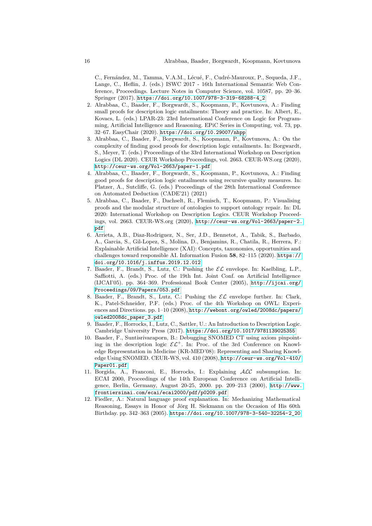C., Fernández, M., Tamma, V.A.M., Lécué, F., Cudré-Mauroux, P., Sequeda, J.F., Lange, C., Heflin, J. (eds.) ISWC 2017 - 16th International Semantic Web Conference, Proceedings. Lecture Notes in Computer Science, vol. 10587, pp. 20–36. Springer (2017). [https://doi.org/10.1007/978-3-319-68288-4\\_2](https://doi.org/10.1007/978-3-319-68288-4_2)

- <span id="page-15-2"></span>2. Alrabbaa, C., Baader, F., Borgwardt, S., Koopmann, P., Kovtunova, A.: Finding small proofs for description logic entailments: Theory and practice. In: Albert, E., Kovacs, L. (eds.) LPAR-23: 23rd International Conference on Logic for Programming, Artificial Intelligence and Reasoning. EPiC Series in Computing, vol. 73, pp. 32–67. EasyChair (2020). <https://doi.org/10.29007/nhpp>
- 3. Alrabbaa, C., Baader, F., Borgwardt, S., Koopmann, P., Kovtunova, A.: On the complexity of finding good proofs for description logic entailments. In: Borgwardt, S., Meyer, T. (eds.) Proceedings of the 33rd International Workshop on Description Logics (DL 2020). CEUR Workshop Proceedings, vol. 2663. CEUR-WS.org (2020), <http://ceur-ws.org/Vol-2663/paper-1.pdf>
- <span id="page-15-6"></span>4. Alrabbaa, C., Baader, F., Borgwardt, S., Koopmann, P., Kovtunova, A.: Finding good proofs for description logic entailments using recursive quality measures. In: Platzer, A., Sutcliffe, G. (eds.) Proceedings of the 28th International Conference on Automated Deduction (CADE'21) (2021)
- <span id="page-15-4"></span>5. Alrabbaa, C., Baader, F., Dachselt, R., Flemisch, T., Koopmann, P.: Visualising proofs and the modular structure of ontologies to support ontology repair. In: DL 2020: International Workshop on Description Logics. CEUR Workshop Proceedings, vol. 2663. CEUR-WS.org (2020), [http://ceur-ws.org/Vol-2663/paper-2.](http://ceur-ws.org/Vol-2663/paper-2.pdf) [pdf](http://ceur-ws.org/Vol-2663/paper-2.pdf)
- <span id="page-15-0"></span>6. Arrieta, A.B., Diaz-Rodriguez, N., Ser, J.D., Bennetot, A., Tabik, S., Barbado, A., Garcia, S., Gil-Lopez, S., Molina, D., Benjamins, R., Chatila, R., Herrera, F.: Explainable Artificial Intelligence (XAI): Concepts, taxonomies, opportunities and challenges toward responsible AI. Information Fusion **58**, 82–115 (2020). [https://](https://doi.org/10.1016/j.inffus.2019.12.012) [doi.org/10.1016/j.inffus.2019.12.012](https://doi.org/10.1016/j.inffus.2019.12.012)
- <span id="page-15-5"></span>7. Baader, F., Brandt, S., Lutz, C.: Pushing the  $\mathcal{EL}$  envelope. In: Kaelbling, L.P., Saffiotti, A. (eds.) Proc. of the 19th Int. Joint Conf. on Artificial Intelligence (IJCAI'05). pp. 364–369. Professional Book Center (2005), [http://ijcai.org/](http://ijcai.org/Proceedings/09/Papers/053.pdf) [Proceedings/09/Papers/053.pdf](http://ijcai.org/Proceedings/09/Papers/053.pdf)
- <span id="page-15-7"></span>8. Baader, F., Brandt, S., Lutz, C.: Pushing the  $\mathcal{EL}$  envelope further. In: Clark, K., Patel-Schneider, P.F. (eds.) Proc. of the 4th Workshop on OWL: Experiences and Directions. pp. 1–10 (2008), [http://webont.org/owled/2008dc/papers/](http://webont.org/owled/2008dc/papers/owled2008dc_paper_3.pdf) [owled2008dc\\_paper\\_3.pdf](http://webont.org/owled/2008dc/papers/owled2008dc_paper_3.pdf)
- <span id="page-15-1"></span>9. Baader, F., Horrocks, I., Lutz, C., Sattler, U.: An Introduction to Description Logic. Cambridge University Press (2017). <https://doi.org/10.1017/9781139025355>
- <span id="page-15-3"></span>10. Baader, F., Suntisrivaraporn, B.: Debugging SNOMED CT using axiom pinpointing in the description logic  $\mathcal{EL}^+$ . In: Proc. of the 3rd Conference on Knowledge Representation in Medicine (KR-MED'08): Representing and Sharing Knowledge Using SNOMED. CEUR-WS, vol. 410 (2008), [http://ceur-ws.org/Vol-410/](http://ceur-ws.org/Vol-410/Paper01.pdf) [Paper01.pdf](http://ceur-ws.org/Vol-410/Paper01.pdf)
- 11. Borgida, A., Franconi, E., Horrocks, I.: Explaining ALC subsumption. In: ECAI 2000, Proceedings of the 14th European Conference on Artificial Intelligence, Berlin, Germany, August 20-25, 2000. pp. 209–213 (2000), [http://www.](http://www.frontiersinai.com/ecai/ecai2000/pdf/p0209.pdf) [frontiersinai.com/ecai/ecai2000/pdf/p0209.pdf](http://www.frontiersinai.com/ecai/ecai2000/pdf/p0209.pdf)
- 12. Fiedler, A.: Natural language proof explanation. In: Mechanizing Mathematical Reasoning, Essays in Honor of Jörg H. Siekmann on the Occasion of His 60th Birthday. pp. 342–363 (2005). [https://doi.org/10.1007/978-3-540-32254-2\\_20](https://doi.org/10.1007/978-3-540-32254-2_20)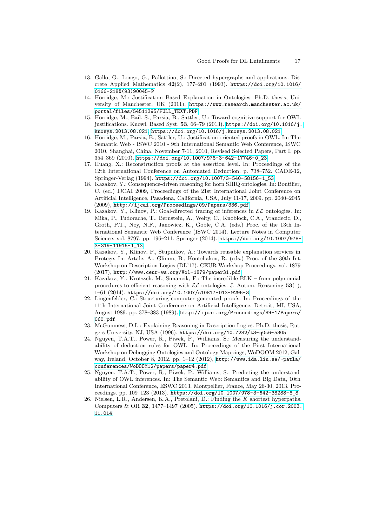- 13. Gallo, G., Longo, G., Pallottino, S.: Directed hypergraphs and applications. Discrete Applied Mathematics **42**(2), 177–201 (1993). [https://doi.org/10.1016/](https://doi.org/10.1016/0166-218X(93)90045-P) [0166-218X\(93\)90045-P](https://doi.org/10.1016/0166-218X(93)90045-P)
- <span id="page-16-1"></span>14. Horridge, M.: Justification Based Explanation in Ontologies. Ph.D. thesis, University of Manchester, UK (2011), [https://www.research.manchester.ac.uk/](https://www.research.manchester.ac.uk/portal/files/54511395/FULL_TEXT.PDF) [portal/files/54511395/FULL\\_TEXT.PDF](https://www.research.manchester.ac.uk/portal/files/54511395/FULL_TEXT.PDF)
- 15. Horridge, M., Bail, S., Parsia, B., Sattler, U.: Toward cognitive support for OWL justifications. Knowl. Based Syst. **53**, 66–79 (2013). [https://doi.org/10.1016/j.](https://doi.org/10.1016/j.knosys.2013.08.021) [knosys.2013.08.021](https://doi.org/10.1016/j.knosys.2013.08.021), <https://doi.org/10.1016/j.knosys.2013.08.021>
- 16. Horridge, M., Parsia, B., Sattler, U.: Justification oriented proofs in OWL. In: The Semantic Web - ISWC 2010 - 9th International Semantic Web Conference, ISWC 2010, Shanghai, China, November 7-11, 2010, Revised Selected Papers, Part I. pp. 354–369 (2010). [https://doi.org/10.1007/978-3-642-17746-0\\_23](https://doi.org/10.1007/978-3-642-17746-0_23)
- 17. Huang, X.: Reconstruction proofs at the assertion level. In: Proceedings of the 12th International Conference on Automated Deduction. p. 738–752. CADE-12, Springer-Verlag (1994). [https://doi.org/10.1007/3-540-58156-1\\_53](https://doi.org/10.1007/3-540-58156-1_53)
- 18. Kazakov, Y.: Consequence-driven reasoning for horn SHIQ ontologies. In: Boutilier, C. (ed.) IJCAI 2009, Proceedings of the 21st International Joint Conference on Artificial Intelligence, Pasadena, California, USA, July 11-17, 2009. pp. 2040–2045 (2009), <http://ijcai.org/Proceedings/09/Papers/336.pdf>
- <span id="page-16-2"></span>19. Kazakov, Y., Klinov, P.: Goal-directed tracing of inferences in  $\mathcal{EL}$  ontologies. In: Mika, P., Tudorache, T., Bernstein, A., Welty, C., Knoblock, C.A., Vrandecic, D., Groth, P.T., Noy, N.F., Janowicz, K., Goble, C.A. (eds.) Proc. of the 13th International Semantic Web Conference (ISWC 2014). Lecture Notes in Computer Science, vol. 8797, pp. 196–211. Springer (2014). [https://doi.org/10.1007/978-](https://doi.org/10.1007/978-3-319-11915-1_13) [3-319-11915-1\\_13](https://doi.org/10.1007/978-3-319-11915-1_13)
- <span id="page-16-3"></span>20. Kazakov, Y., Klinov, P., Stupnikov, A.: Towards reusable explanation services in Protege. In: Artale, A., Glimm, B., Kontchakov, R. (eds.) Proc. of the 30th Int. Workshop on Description Logics (DL'17). CEUR Workshop Proceedings, vol. 1879 (2017), <http://www.ceur-ws.org/Vol-1879/paper31.pdf>
- 21. Kazakov, Y., Krötzsch, M., Simancik, F.: The incredible ELK from polynomial procedures to efficient reasoning with  $\mathcal{EL}$  ontologies. J. Autom. Reasoning 53(1), 1–61 (2014). <https://doi.org/10.1007/s10817-013-9296-3>
- 22. Lingenfelder, C.: Structuring computer generated proofs. In: Proceedings of the 11th International Joint Conference on Artificial Intelligence. Detroit, MI, USA, August 1989. pp. 378–383 (1989), [http://ijcai.org/Proceedings/89-1/Papers/](http://ijcai.org/Proceedings/89-1/Papers/060.pdf) [060.pdf](http://ijcai.org/Proceedings/89-1/Papers/060.pdf)
- <span id="page-16-0"></span>23. McGuinness, D.L.: Explaining Reasoning in Description Logics. Ph.D. thesis, Rutgers University, NJ, USA (1996). <https://doi.org/10.7282/t3-q0c6-5305>
- 24. Nguyen, T.A.T., Power, R., Piwek, P., Williams, S.: Measuring the understandability of deduction rules for OWL. In: Proceedings of the First International Workshop on Debugging Ontologies and Ontology Mappings, WoDOOM 2012, Galway, Ireland, October 8, 2012. pp. 1–12 (2012), [http://www.ida.liu.se/~patla/](http://www.ida.liu.se/~patla/conferences/WoDOOM12/papers/paper4.pdf) [conferences/WoDOOM12/papers/paper4.pdf](http://www.ida.liu.se/~patla/conferences/WoDOOM12/papers/paper4.pdf)
- 25. Nguyen, T.A.T., Power, R., Piwek, P., Williams, S.: Predicting the understandability of OWL inferences. In: The Semantic Web: Semantics and Big Data, 10th International Conference, ESWC 2013, Montpellier, France, May 26-30, 2013. Proceedings. pp. 109–123 (2013). [https://doi.org/10.1007/978-3-642-38288-8\\_8](https://doi.org/10.1007/978-3-642-38288-8_8)
- 26. Nielsen, L.R., Andersen, K.A., Pretolani, D.: Finding the *K* shortest hyperpaths. Computers & OR **32**, 1477–1497 (2005). [https://doi.org/10.1016/j.cor.2003.](https://doi.org/10.1016/j.cor.2003.11.014) [11.014](https://doi.org/10.1016/j.cor.2003.11.014)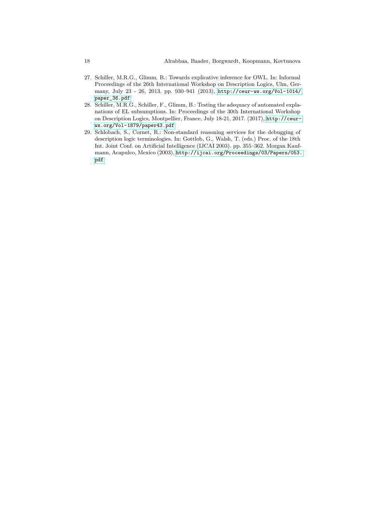- 27. Schiller, M.R.G., Glimm, B.: Towards explicative inference for OWL. In: Informal Proceedings of the 26th International Workshop on Description Logics, Ulm, Germany, July 23 - 26, 2013. pp. 930–941 (2013), [http://ceur-ws.org/Vol-1014/](http://ceur-ws.org/Vol-1014/paper_36.pdf) [paper\\_36.pdf](http://ceur-ws.org/Vol-1014/paper_36.pdf)
- 28. Schiller, M.R.G., Schiller, F., Glimm, B.: Testing the adequacy of automated explanations of EL subsumptions. In: Proceedings of the 30th International Workshop on Description Logics, Montpellier, France, July 18-21, 2017. (2017), [http://ceur](http://ceur-ws.org/Vol-1879/paper43.pdf)[ws.org/Vol-1879/paper43.pdf](http://ceur-ws.org/Vol-1879/paper43.pdf)
- <span id="page-17-0"></span>29. Schlobach, S., Cornet, R.: Non-standard reasoning services for the debugging of description logic terminologies. In: Gottlob, G., Walsh, T. (eds.) Proc. of the 18th Int. Joint Conf. on Artificial Intelligence (IJCAI 2003). pp. 355–362. Morgan Kaufmann, Acapulco, Mexico (2003), [http://ijcai.org/Proceedings/03/Papers/053.](http://ijcai.org/Proceedings/03/Papers/053.pdf) [pdf](http://ijcai.org/Proceedings/03/Papers/053.pdf)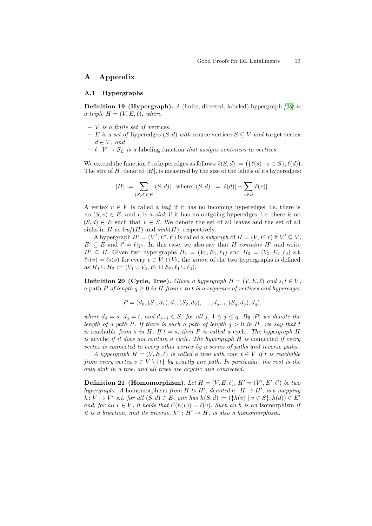## **A Appendix**

#### **A.1 Hypergraphs**

**Definition 19 (Hypergraph).** *A* (finite, directed, labeled) hypergraph *[26] is*  $\alpha$  triple  $H = (V, E, \ell)$ , where

- **–** *V is a finite set of* vertices*,*
- $− E$  *is a set of* hyperedges  $(S, d)$  *with* source vertices  $S ⊂ V$  *and* target vertex  $d \in V$ *, and*
- $\ell : V \to \mathcal{S}_{\ell}$  *is a* labeling function *that assigns sentences to vertices.*

We extend the function  $\ell$  to hyperedges as follows:  $\ell(S, d) := (\{\ell(s) \mid s \in S\}, \ell(d)).$ The *size* of  $H$ , denoted  $|H|$ , is measured by the size of the labels of its hyperedges:

$$
|H| := \sum_{(S,d) \in E} |(S,d)|, \text{ where } |(S,d)| := |\ell(d)| + \sum_{v \in S} |\ell(v)|.
$$

A vertex  $v \in V$  is called a *leaf* if it has no incoming hyperedges, i.e. there is no  $(S, v) \in E$ ; and *v* is a *sink* if it has no outgoing hyperedges, i.e. there is no  $(S, d) \in E$  such that  $v \in S$ . We denote the set of all leaves and the set of all sinks in *H* as  $leaf(H)$  and  $sink(H)$ , respectively.

A hypergraph  $H' = (V', E', \ell')$  is called a *subgraph* of  $H = (V, E, \ell)$  if  $V' \subseteq V$ ,  $E' \subseteq E$  and  $\ell' = \ell|_{V'}$ . In this case, we also say that *H contains H'* and write  $H' \subseteq H$ . Given two hypergraphs  $H_1 = (V_1, E_1, \ell_1)$  and  $H_2 = (V_2, E_2, \ell_2)$  s.t.  $\ell_1(v) = \ell_2(v)$  for every  $v \in V_1 \cap V_2$ , the *union* of the two hypergraphs is defined as  $H_1 \cup H_2 := (V_1 \cup V_2, E_1 \cup E_2, \ell_1 \cup \ell_2).$ 

**Definition 20 (Cycle, Tree).** *Given a hypergraph*  $H = (V, E, \ell)$  *and*  $s, t \in V$ . *a* path  $P$  *of length*  $q \geq 0$  *in*  $H$  *from s to t is a sequence of vertices and hyperedges* 

$$
P = (d_0, (S_1, d_1), d_1, (S_2, d_2), \dots, d_{q-1}, (S_q, d_q), d_q),
$$

*where*  $d_0 = s$ *,*  $d_q = t$ *, and*  $d_{j-1} \in S_j$  *for all j*,  $1 \leq j \leq q$ *. By* |*P*| *we denote the length of a path P. If there is such a path of length*  $q > 0$  *in*  $H$ *, we say that*  $t$ *is* reachable *from s in*  $H$ *. If*  $t = s$ *, then*  $P$  *is called a* cycle*. The hypergraph*  $H$ *is* acyclic *if it does not contain a cycle. The hypergraph H is* connected *if every vertex is connected to every other vertex by a series of paths and reverse paths.*

*A hypergraph*  $H = (V, E, \ell)$  *is called a tree with root*  $t \in V$  *if t is reachable from every vertex*  $v \in V \setminus \{t\}$  *by exactly one path. In particular, the root is the only sink in a tree, and all trees are acyclic and connected.*

<span id="page-18-0"></span>**Definition 21 (Homomorphism).** Let  $H = (V, E, \ell), H' = (V', E', \ell')$  be two *hypergraphs.* A homomorphism *from*  $H$  *to*  $H'$ , *denoted*  $h: H \to H'$ , *is a mapping h*: *V* → *V*<sup> $'$ </sup> *s.t. for all*  $(S, d) \in E$ *, one has*  $h(S, d) := (\{h(v) | v \in S\}, h(d)) \in E'$ *and, for all*  $v \in V$ *, it holds that*  $\ell'(h(v)) = \ell(v)$ *. Such an h is an* isomorphism *if it is a bijection, and its inverse,*  $h^-: H' \to H$ *, is also a homomorphism.*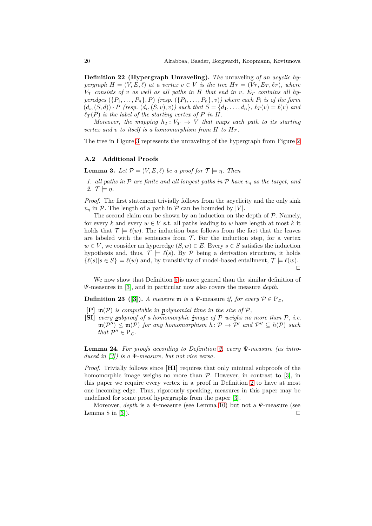**Definition 22 (Hypergraph Unraveling).** *The* unraveling *of an acyclic hypergraph*  $H = (V, E, \ell)$  *at a vertex*  $v \in V$  *is the tree*  $H_T = (V_T, E_T, \ell_T)$ *, where*  $V_T$  *consists of v as well as all paths in H that end in v,*  $E_T$  *contains all hyperedges*  $({P_1, \ldots, P_n}, P)$  *(resp.*  $({P_1, \ldots, P_n}, v)$ *)* where each  $P_i$  *is of the form*  $(d_i, (S, d)) \cdot P$  (resp.  $(d_i, (S, v), v)$ ) such that  $S = \{d_1, ..., d_n\}$ ,  $\ell_T(v) = \ell(v)$  and  $\ell_T(P)$  *is the label of the starting vertex of*  $P$  *in*  $H$ *.* 

*Moreover, the mapping*  $h_T: V_T \rightarrow V$  *that maps each path to its starting vertex and v to itself is a homomorphism from*  $H$  *to*  $H_T$ .

The tree in Figure [3](#page-3-2) represents the unraveling of the hypergraph from Figure [2.](#page-3-1)

#### **A.2 Additional Proofs**

**Lemma 3.** Let  $P = (V, E, \ell)$  be a proof for  $T \models \eta$ . Then

*1. all paths in* P *are finite and all longest paths in* P *have v<sup>η</sup> as the target; and*  $2. \mathcal{T} \models n$ .

*Proof.* The first statement trivially follows from the acyclicity and the only sink  $v_n$  in P. The length of a path in P can be bounded by |*V*|.

The second claim can be shown by an induction on the depth of  $P$ . Namely, for every *k* and every  $w \in V$  s.t. all paths leading to *w* have length at most *k* it holds that  $\mathcal{T} \models \ell(w)$ . The induction base follows from the fact that the leaves are labeled with the sentences from  $\mathcal T$ . For the induction step, for a vertex  $w \in V$ , we consider an hyperedge  $(S, w) \in E$ . Every  $s \in S$  satisfies the induction hypothesis and, thus,  $\mathcal{T} \models \ell(s)$ . By  $\mathcal{P}$  being a derivation structure, it holds  $\{\ell(s)|s \in S\} \models \ell(w)$  and, by transitivity of model-based entailment,  $\mathcal{T} \models \ell(w)$ . ⊓⊔

We now show that Definition [5](#page-6-2) is more general than the similar definition of *Ψ*-measures in [3], and in particular now also covers the measure *depth*.

**Definition 23** ([3]). *A measure*  $\mathfrak{m}$  *is a*  $\Psi$ -measure *if, for every*  $P \in P_{\mathcal{L}}$ ,

- **[P]** m(P) *is computable in polynomial time in the size of* P*,*
- **[SI]** *every subproof of a homomorphic image of* P *weighs no more than* P*, i.e.*  $\mathfrak{m}(\mathcal{P}'') \leq \mathfrak{m}(\mathcal{P})$  *for any homomorphism*  $h \colon \mathcal{P} \to \mathcal{P}'$  *and*  $\mathcal{P}'' \subseteq h(\mathcal{P})$  *such that*  $\mathcal{P}'' \in P_{\mathcal{L}}$ *.*

**Lemma 24.** *For proofs according to Definition [2,](#page-4-0) every* Ψ*-measure (as introduced in [3]) is a* Φ*-measure, but not vice versa.*

*Proof.* Trivially follows since **[HI]** requires that only minimal subproofs of the homomorphic image weighs no more than  $P$ . However, in contrast to [3], in this paper we require every vertex in a proof in Definition [2](#page-4-0) to have at most one incoming edge. Thus, rigorously speaking, measures in this paper may be undefined for some proof hypergraphs from the paper [3].

Moreover, *depth* is a Φ-measure (see Lemma [10\)](#page-7-0) but not a *Ψ*-measure (see Lemma 8 in [3]). □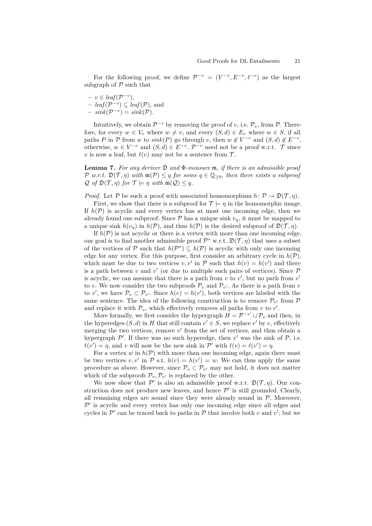For the following proof, we define  $\mathcal{P}^{-v} = (V^{-v}, E^{-v}, \ell^{-v})$  as the largest subgraph of  $P$  such that

- $v \in \text{leaf}(\mathcal{P}^{-v}),$
- $\text{ leaf}(\mathcal{P}^{-v}) \subseteq \text{leaf}(\mathcal{P}), \text{ and}$
- $sink(\mathcal{P}^{-v}) = sink(\mathcal{P}).$

Intuitively, we obtain  $\mathcal{P}^{-v}$  by removing the proof of *v*, i.e.  $\mathcal{P}_v$ , from  $\mathcal{P}$ . Therefore, for every  $w \in V_v$  where  $w \neq v$ , and every  $(S, d) \in E_v$  where  $w \in S$ , if all paths *P* in  $\mathcal P$  from *w* to *sink*(*P*) go through *v*, then  $w \notin V^{-v}$  and  $(S, d) \notin E^{-v}$ , otherwise,  $w \in V^{-v}$  and  $(S, d) \in E^{-v}$ .  $\mathcal{P}^{-v}$  need not be a proof w.r.t.  $\mathcal{T}$  since *v* is now a leaf, but  $\ell(v)$  may not be a sentence from  $\mathcal{T}$ .

**Lemma 7.** *For any deriver* D *and* Φ*-measure* m*, if there is an admissible proof*  $\mathcal{P}$  *w.r.t.*  $\mathfrak{D}(\mathcal{T}, \eta)$  *with*  $\mathfrak{m}(\mathcal{P}) \leq q$  *for some*  $q \in \mathbb{Q}_{\geq 0}$ *, then there exists a subproof*  $\mathcal{Q}$  *of*  $\mathfrak{D}(\mathcal{T}, \eta)$  *for*  $\mathcal{T} \models \eta$  *with*  $\mathfrak{m}(\mathcal{Q}) \leq q$ *.* 

*Proof.* Let P be such a proof with associated homomorphism  $h: \mathcal{P} \to \mathfrak{D}(\mathcal{T}, n)$ .

First, we show that there is a subproof for  $\mathcal{T} \models \eta$  in the homomorphic image. If  $h(\mathcal{P})$  is acyclic and every vertex has at most one incoming edge, then we already found one subproof. Since  $\mathcal{P}$  has a unique sink  $v_n$ , it must be mapped to a unique sink  $h(v_n)$  in  $h(\mathcal{P})$ , and thus  $h(\mathcal{P})$  is the desired subproof of  $\mathfrak{D}(\mathcal{T}, \eta)$ .

If  $h(\mathcal{P})$  is not acyclic or there is a vertex with more than one incoming edge, our goal is to find another admissible proof  $\mathcal{P}^*$  w.r.t.  $\mathfrak{D}(\mathcal{T}, \eta)$  that uses a subset of the vertices of  $P$  such that  $h(P^*) \subseteq h(P)$  is acyclic with only one incoming edge for any vertex. For this purpose, first consider an arbitrary cycle in  $h(\mathcal{P})$ , which must be due to two vertices  $v, v'$  in  $\mathcal{P}$  such that  $h(v) = h(v')$  and there is a path between  $v$  and  $v'$  (or due to multiple such pairs of vertices). Since  $P$ is acyclic, we can assume that there is a path from  $v$  to  $v'$ , but no path from  $v'$ to *v*. We now consider the two subproofs  $P_v$  and  $P_{v'}$ . As there is a path from *v* to *v'*, we have  $\mathcal{P}_v \subset \mathcal{P}_{v'}$ . Since  $h(v) = h(v')$ , both vertices are labeled with the same sentence. The idea of the following construction is to remove  $\mathcal{P}_{v'}$  from  $\mathcal{P}$ and replace it with  $\mathcal{P}_v$ , which effectively removes all paths from  $v$  to  $v'$ .

More formally, we first consider the hypergraph  $H = \mathcal{P}^{-v'} \cup \mathcal{P}_v$  and then, in the hyperedges  $(S, d)$  in *H* that still contain  $v' \in S$ , we replace *v'* by *v*, effectively merging the two vertices, remove  $v'$  from the set of vertices, and thus obtain a hypergraph  $\mathcal{P}'$ . If there was no such hyperedge, then  $v'$  was the sink of  $\mathcal{P}$ , i.e.  $\ell(v') = \eta$ , and *v* will now be the new sink in  $\mathcal{P}'$  with  $\ell(v) = \ell(v') = \eta$ .

For a vertex  $w$  in  $h(\mathcal{P})$  with more than one incoming edge, again there must be two vertices  $v, v'$  in  $\mathcal{P}$  s.t.  $h(v) = h(v') = w$ . We can thus apply the same procedure as above. However, since  $\mathcal{P}_v \subset \mathcal{P}_{v'}$  may not hold, it does not matter which of the subproofs  $\mathcal{P}_v, \mathcal{P}_{v'}$  is replaced by the other.

We now show that  $\mathcal{P}'$  is also an admissible proof w.r.t.  $\mathfrak{D}(\mathcal{T}, \eta)$ . Our construction does not produce new leaves, and hence  $\mathcal{P}'$  is still grounded. Clearly, all remaining edges are sound since they were already sound in  $P$ . Moreover,  $P'$  is acyclic and every vertex has only one incoming edge since all edges and cycles in  $\mathcal{P}'$  can be traced back to paths in  $\mathcal P$  that involve both  $v$  and  $v'$ ; but we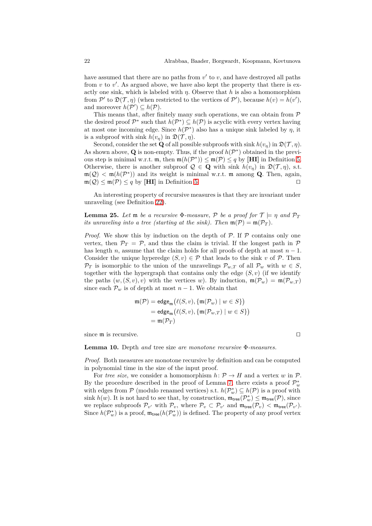have assumed that there are no paths from  $v'$  to  $v$ , and have destroyed all paths from  $v$  to  $v'$ . As argued above, we have also kept the property that there is exactly one sink, which is labeled with  $\eta$ . Observe that  $h$  is also a homomorphism from P' to  $\mathfrak{D}(\mathcal{T}, \eta)$  (when restricted to the vertices of P'), because  $h(v) = h(v')$ , and moreover  $h(\mathcal{P}') \subseteq h(\mathcal{P})$ .

This means that, after finitely many such operations, we can obtain from  $P$ the desired proof  $\mathcal{P}^*$  such that  $h(\mathcal{P}^*) \subseteq h(\mathcal{P})$  is acyclic with every vertex having at most one incoming edge. Since  $h(\mathcal{P}^*)$  also has a unique sink labeled by  $\eta$ , it is a subproof with sink  $h(v_n)$  in  $\mathfrak{D}(\mathcal{T}, \eta)$ .

Second, consider the set **Q** of all possible subproofs with sink  $h(v_n)$  in  $\mathfrak{D}(\mathcal{T}, \eta)$ . As shown above,  $\bf{Q}$  is non-empty. Thus, if the proof  $h(\mathcal{P}^*)$  obtained in the previous step is minimal w.r.t.  $m$ , then  $m(h(\mathcal{P}^*)) \leq m(\mathcal{P}) \leq q$  by [HI] in Definition [5.](#page-6-2) Otherwise, there is another subproof  $\mathcal{Q} \in \mathbf{Q}$  with sink  $h(v_n)$  in  $\mathfrak{D}(\mathcal{T}, \eta)$ , s.t.  $\mathfrak{m}(\mathcal{Q}) < \mathfrak{m}(h(\mathcal{P}^*))$  and its weight is minimal w.r.t.  $\mathfrak{m}$  among **Q**. Then, again,  $m(Q) \le m(\mathcal{P}) \le q$  by [HI] in Definition [5.](#page-6-2) □

An interesting property of recursive measures is that they are invariant under unraveling (see Definition [22\)](#page-18-0).

**Lemma 25.** *Let* **m** *be a recursive*  $\Phi$ *-measure,*  $\mathcal{P}$  *be a proof for*  $\mathcal{T} \models \eta$  *and*  $\mathcal{P}_T$ *its unraveling into a tree (starting at the sink). Then*  $\mathfrak{m}(\mathcal{P}) = \mathfrak{m}(\mathcal{P}_T)$ *.* 

*Proof.* We show this by induction on the depth of  $P$ . If  $P$  contains only one vertex, then  $\mathcal{P}_T = \mathcal{P}$ , and thus the claim is trivial. If the longest path in  $\mathcal{P}$ has length *n*, assume that the claim holds for all proofs of depth at most  $n-1$ . Consider the unique hyperedge  $(S, v) \in \mathcal{P}$  that leads to the sink *v* of  $\mathcal{P}$ . Then  $\mathcal{P}_T$  is isomorphic to the union of the unravelings  $\mathcal{P}_{w,T}$  of all  $\mathcal{P}_w$  with  $w \in S$ , together with the hypergraph that contains only the edge  $(S, v)$  (if we identify the paths  $(w,(S,v),v)$  with the vertices *w*). By induction,  $\mathfrak{m}(\mathcal{P}_w) = \mathfrak{m}(\mathcal{P}_{w,T})$ since each  $\mathcal{P}_w$  is of depth at most  $n-1$ . We obtain that

$$
\begin{aligned} \mathfrak{m}(\mathcal{P}) &= \mathsf{edge}_{\mathfrak{m}}\big(\ell(S, v), \{\mathfrak{m}(\mathcal{P}_w) \mid w \in S\}\big) \\ &= \mathsf{edge}_{\mathfrak{m}}\big(\ell(S, v), \{\mathfrak{m}(\mathcal{P}_{w,T}) \mid w \in S\}\big) \\ &= \mathfrak{m}(\mathcal{P}_T) \end{aligned}
$$

since **m** is recursive. □

**Lemma 10.** Depth *and* tree size *are monotone recursive* Φ*-measures.*

*Proof.* Both measures are monotone recursive by definition and can be computed in polynomial time in the size of the input proof.

For *tree size*, we consider a homomorphism  $h: \mathcal{P} \to H$  and a vertex *w* in  $\mathcal{P}$ . By the procedure described in the proof of Lemma [7,](#page-6-0) there exists a proof  $\mathcal{P}_w^*$ with edges from  $P$  (modulo renamed vertices) s.t.  $h(P_w^*) \subseteq h(P)$  is a proof with sink  $h(w)$ . It is not hard to see that, by construction,  $\mathfrak{m}_{\mathsf{tree}}(\mathcal{P}_w^*) \leq \mathfrak{m}_{\mathsf{tree}}(\mathcal{P})$ , since we replace subproofs  $\mathcal{P}_{v'}$  with  $\mathcal{P}_v$ , where  $\mathcal{P}_v \subset \mathcal{P}_{v'}$  and  $\mathfrak{m}_{\text{tree}}(\mathcal{P}_v) < \mathfrak{m}_{\text{tree}}(\mathcal{P}_{v'})$ . Since  $h(\mathcal{P}_w^*)$  is a proof,  $\mathfrak{m}_{\text{tree}}(h(\mathcal{P}_w^*))$  is defined. The property of any proof vertex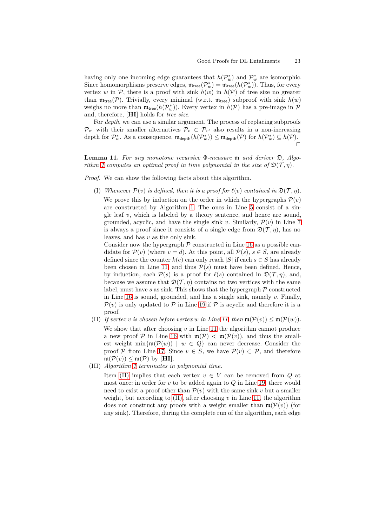having only one incoming edge guarantees that  $h(\mathcal{P}_w^*)$  and  $\mathcal{P}_w^*$  are isomorphic. Since homomorphisms preserve edges,  $\mathfrak{m}_{\text{tree}}(\mathcal{P}_w^*) = \mathfrak{m}_{\text{tree}}(h(\mathcal{P}_w^*))$ . Thus, for every vertex *w* in  $P$ , there is a proof with sink  $h(w)$  in  $h(P)$  of tree size no greater than  $m_{tree}(\mathcal{P})$ . Trivially, every minimal (w.r.t.  $m_{tree}$ ) subproof with sink  $h(w)$ weighs no more than  $\mathfrak{m}_{\text{tree}}(h(\mathcal{P}_w^*))$ . Every vertex in  $h(\mathcal{P})$  has a pre-image in  $\mathcal P$ and, therefore, **[HI]** holds for *tree size*.

For *depth*, we can use a similar argument. The process of replacing subproofs  $\mathcal{P}_{v'}$  with their smaller alternatives  $\mathcal{P}_{v} \subset \mathcal{P}_{v'}$  also results in a non-increasing depth for  $\mathcal{P}_w^*$ . As a consequence,  $\mathfrak{m}_{\text{depth}}(h(\mathcal{P}_w^*)) \leq \mathfrak{m}_{\text{depth}}(\mathcal{P})$  for  $h(\mathcal{P}_w^*) \subseteq h(\mathcal{P})$ . ⊓⊔

**Lemma 11.** *For any monotone recursive* Φ*-measure* m *and deriver* D*, Algorithm* [1](#page-8-0) *computes an optimal proof in time polynomial in the size of*  $\mathfrak{D}(\mathcal{T}, \eta)$ *.* 

<span id="page-22-2"></span>*Proof.* We can show the following facts about this algorithm.

(I) *Whenever*  $\mathcal{P}(v)$  *is defined, then it is a proof for*  $\ell(v)$  *contained in*  $\mathfrak{D}(\mathcal{T}, \eta)$ *.* 

We prove this by induction on the order in which the hypergraphs  $\mathcal{P}(v)$ are constructed by Algorithm [1.](#page-8-0) The ones in Line [5](#page-8-2) consist of a single leaf *v*, which is labeled by a theory sentence, and hence are sound, grounded, acyclic, and have the single sink *v*. Similarly,  $\mathcal{P}(v)$  in Line [7](#page-8-3) is always a proof since it consists of a single edge from  $\mathfrak{D}(\mathcal{T}, \eta)$ , has no leaves, and has *v* as the only sink.

Consider now the hypergraph  $P$  constructed in Line [16](#page-8-4) as a possible candidate for  $\mathcal{P}(v)$  (where  $v = d$ ). At this point, all  $\mathcal{P}(s)$ ,  $s \in S$ , are already defined since the counter  $k(e)$  can only reach |*S*| if each  $s \in S$  has already been chosen in Line [11,](#page-8-5) and thus  $P(s)$  must have been defined. Hence, by induction, each  $\mathcal{P}(s)$  is a proof for  $\ell(s)$  contained in  $\mathfrak{D}(\mathcal{T}, \eta)$ , and, because we assume that  $\mathfrak{D}(\mathcal{T}, \eta)$  contains no two vertices with the same label, must have  $s$  as sink. This shows that the hypergraph  $P$  constructed in Line [16](#page-8-4) is sound, grounded, and has a single sink, namely *v*. Finally,  $\mathcal{P}(v)$  is only updated to  $\mathcal P$  in Line [19](#page-8-6) if  $\mathcal P$  is acyclic and therefore it is a proof.

- <span id="page-22-0"></span>(II) *If vertex v is chosen before vertex w in Line* [11,](#page-8-5) *then*  $\mathfrak{m}(\mathcal{P}(v)) \leq \mathfrak{m}(\mathcal{P}(w))$ *.* We show that after choosing *v* in Line [11](#page-8-5) the algorithm cannot produce a new proof P in Line [16](#page-8-4) with  $m(\mathcal{P}) < m(\mathcal{P}(v))$ , and thus the smallest weight  $min{m(\mathcal{P}(w)) \mid w \in Q}$  can never decrease. Consider the proof P from Line [17.](#page-8-7) Since  $v \in S$ , we have  $\mathcal{P}(v) \subset \mathcal{P}$ , and therefore  $\mathfrak{m}(\mathcal{P}(v)) \leq \mathfrak{m}(\mathcal{P})$  by [**HI**].
- <span id="page-22-1"></span>(III) *Algorithm [1](#page-8-0) terminates in polynomial time.*

Item [\(II\)](#page-22-0) implies that each vertex  $v \in V$  can be removed from  $Q$  at most once: in order for *v* to be added again to *Q* in Line [19,](#page-8-6) there would need to exist a proof other than  $\mathcal{P}(v)$  with the same sink *v* but a smaller weight, but according to  $(II)$ , after choosing  $v$  in Line [11,](#page-8-5) the algorithm does not construct any proofs with a weight smaller than  $\mathfrak{m}(\mathcal{P}(v))$  (for any sink). Therefore, during the complete run of the algorithm, each edge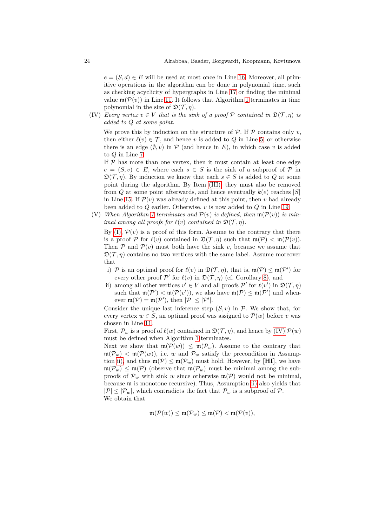$e = (S, d) \in E$  will be used at most once in Line [16.](#page-8-4) Moreover, all primitive operations in the algorithm can be done in polynomial time, such as checking acyclicity of hypergraphs in Line [17](#page-8-7) or finding the minimal value  $\mathfrak{m}(\mathcal{P}(v))$  in Line [11.](#page-8-5) It follows that Algorithm [1](#page-8-0) terminates in time polynomial in the size of  $\mathfrak{D}(\mathcal{T}, \eta)$ .

<span id="page-23-0"></span>(IV) *Every vertex*  $v \in V$  *that is the sink of a proof*  $P$  *contained in*  $\mathfrak{D}(\mathcal{T}, \eta)$  *is added to Q at some point.*

We prove this by induction on the structure of  $P$ . If  $P$  contains only  $v$ , then either  $\ell(v) \in \mathcal{T}$ , and hence *v* is added to *Q* in Line [5,](#page-8-2) or otherwise there is an edge  $(\emptyset, v)$  in  $\mathcal P$  (and hence in *E*), in which case *v* is added to *Q* in Line [7.](#page-8-3)

If  $P$  has more than one vertex, then it must contain at least one edge  $e = (S, v) \in E$ , where each  $s \in S$  is the sink of a subproof of  $P$  in  $\mathfrak{D}(\mathcal{T}, \eta)$ . By induction we know that each  $s \in S$  is added to Q at some point during the algorithm. By Item [\(III\),](#page-22-1) they must also be removed from *Q* at some point afterwards, and hence eventually  $k(e)$  reaches  $|S|$ in Line [15.](#page-8-8) If  $\mathcal{P}(v)$  was already defined at this point, then *v* had already been added to *Q* earlier. Otherwise, *v* is now added to *Q* in Line [19.](#page-8-6)

<span id="page-23-2"></span>(V) When Algorithm [1](#page-8-0) terminates and  $\mathcal{P}(v)$  is defined, then  $\mathfrak{m}(\mathcal{P}(v))$  is min*imal among all proofs for*  $\ell(v)$  *contained in*  $\mathfrak{D}(\mathcal{T}, \eta)$ *.* 

By  $(I)$ ,  $\mathcal{P}(v)$  is a proof of this form. Assume to the contrary that there is a proof P for  $\ell(v)$  contained in  $\mathfrak{D}(\mathcal{T}, \eta)$  such that  $\mathfrak{m}(\mathcal{P}) < \mathfrak{m}(\mathcal{P}(v))$ . Then  $P$  and  $P(v)$  must both have the sink *v*, because we assume that  $\mathfrak{D}(\mathcal{T}, \eta)$  contains no two vertices with the same label. Assume moreover that

- i) P is an optimal proof for  $\ell(v)$  in  $\mathfrak{D}(\mathcal{T}, \eta)$ , that is,  $\mathfrak{m}(\mathcal{P}) \leq \mathfrak{m}(\mathcal{P}')$  for every other proof  $\mathcal{P}'$  for  $\ell(v)$  in  $\mathfrak{D}(\mathcal{T}, \eta)$  (cf. Corollary [8\)](#page-6-3), and
- <span id="page-23-1"></span>ii) among all other vertices  $v' \in V$  and all proofs  $\mathcal{P}'$  for  $\ell(v')$  in  $\mathfrak{D}(\mathcal{T}, \eta)$ such that  $\mathfrak{m}(\mathcal{P}') < \mathfrak{m}(\mathcal{P}(v'))$ , we also have  $\mathfrak{m}(\mathcal{P}) \leq \mathfrak{m}(\mathcal{P}')$  and whenever  $\mathfrak{m}(\mathcal{P}) = \mathfrak{m}(\mathcal{P}')$ , then  $|\mathcal{P}| \leq |\mathcal{P}'|$ .

Consider the unique last inference step  $(S, v)$  in  $\mathcal{P}$ . We show that, for every vertex  $w \in S$ , an optimal proof was assigned to  $\mathcal{P}(w)$  before *v* was chosen in Line [11.](#page-8-5)

First,  $\mathcal{P}_w$  is a proof of  $\ell(w)$  contained in  $\mathfrak{D}(\mathcal{T}, \eta)$ , and hence by [\(IV\)](#page-23-0)  $\mathcal{P}(w)$ must be defined when Algorithm [1](#page-8-0) terminates.

Next we show that  $\mathfrak{m}(\mathcal{P}(w)) \leq \mathfrak{m}(\mathcal{P}_w)$ . Assume to the contrary that  $\mathfrak{m}(\mathcal{P}_w) < \mathfrak{m}(\mathcal{P}(w))$ , i.e. *w* and  $\mathcal{P}_w$  satisfy the precondition in Assumption [ii\),](#page-23-1) and thus  $\mathfrak{m}(\mathcal{P}) \leq \mathfrak{m}(\mathcal{P}_w)$  must hold. However, by [**HI**], we have  $\mathfrak{m}(\mathcal{P}_w) \leq \mathfrak{m}(\mathcal{P})$  (observe that  $\mathfrak{m}(\mathcal{P}_w)$  must be minimal among the subproofs of  $\mathcal{P}_w$  with sink *w* since otherwise  $\mathfrak{m}(\mathcal{P})$  would not be minimal, because m is monotone recursive). Thus, Assumption [ii\)](#page-23-1) also yields that  $|\mathcal{P}| \leq |\mathcal{P}_w|$ , which contradicts the fact that  $\mathcal{P}_w$  is a subproof of  $\mathcal{P}$ . We obtain that

$$
\mathfrak{m}(\mathcal{P}(w))\leq \mathfrak{m}(\mathcal{P}_w)\leq \mathfrak{m}(\mathcal{P})<\mathfrak{m}(\mathcal{P}(v)),
$$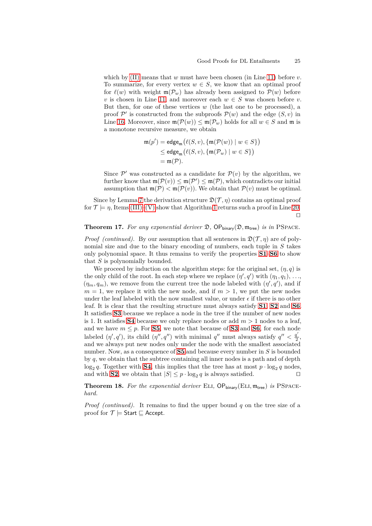which by  $(II)$  means that *w* must have been chosen (in Line [11\)](#page-8-5) before *v*. To summarize, for every vertex  $w \in S$ , we know that an optimal proof for  $\ell(w)$  with weight  $\mathfrak{m}(\mathcal{P}_w)$  has already been assigned to  $\mathcal{P}(w)$  before *v* is chosen in Line [11,](#page-8-5) and moreover each  $w \in S$  was chosen before *v*. But then, for one of these vertices *w* (the last one to be processed), a proof  $\mathcal{P}'$  is constructed from the subproofs  $\mathcal{P}(w)$  and the edge  $(S, v)$  in Line [16.](#page-8-4) Moreover, since  $\mathfrak{m}(\mathcal{P}(w)) \leq \mathfrak{m}(\mathcal{P}_w)$  holds for all  $w \in S$  and  $\mathfrak{m}$  is a monotone recursive measure, we obtain

$$
\begin{aligned} \mathfrak{m}(p')&=\text{edge}_{\mathfrak{m}}\big(\ell(S,v),\{\mathfrak{m}(\mathcal{P}(w))\mid w\in S\}\big)\\ &\leq \text{edge}_{\mathfrak{m}}\big(\ell(S,v),\{\mathfrak{m}(\mathcal{P}_w)\mid w\in S\}\big)\\ &=\mathfrak{m}(\mathcal{P}).\end{aligned}
$$

Since  $\mathcal{P}'$  was constructed as a candidate for  $\mathcal{P}(v)$  by the algorithm, we further know that  $m(\mathcal{P}(v)) \leq m(\mathcal{P}') \leq m(\mathcal{P})$ , which contradicts our initial assumption that  $\mathfrak{m}(\mathcal{P}) < \mathfrak{m}(\mathcal{P}(v))$ . We obtain that  $\mathcal{P}(v)$  must be optimal.

Since by Lemma [7](#page-6-0) the derivation structure  $\mathfrak{D}(\mathcal{T}, \eta)$  contains an optimal proof for  $\mathcal{T} \models \eta$ , Items [\(III\)](#page-22-1)[–\(V\)](#page-23-2) show that Algorithm [1](#page-8-0) returns such a proof in Line [20.](#page-8-1) ⊓⊔

**Theorem 17.** For any exponential deriver  $\mathfrak{D}$ ,  $OP_{\text{binary}}(\mathfrak{D}, \mathfrak{m}_{\text{tree}})$  *is in* PSPACE.

*Proof (continued).* By our assumption that all sentences in  $\mathfrak{D}(\mathcal{T}, \eta)$  are of polynomial size and due to the binary encoding of numbers, each tuple in *S* takes only polynomial space. It thus remains to verify the properties **[S1](#page-13-1)**–**[S6](#page-13-2)** to show that *S* is polynomially bounded.

We proceed by induction on the algorithm steps: for the original set,  $(\eta, q)$  is the only child of the root. In each step where we replace  $(\eta', q')$  with  $(\eta_1, q_1), \ldots,$  $(\eta_m, q_m)$ , we remove from the current tree the node labeled with  $(\eta', q')$ , and if  $m = 1$ , we replace it with the new node, and if  $m > 1$ , we put the new nodes under the leaf labeled with the now smallest value, or under  $\epsilon$  if there is no other leaf. It is clear that the resulting structure must always satisfy **[S1](#page-13-1)**, **[S2](#page-13-6)** and **[S6](#page-13-2)**. It satisfies **[S3](#page-13-3)** because we replace a node in the tree if the number of new nodes is 1. It satisfies **[S4](#page-13-4)** because we only replace nodes or add  $m > 1$  nodes to a leaf, and we have  $m \leq p$ . For **[S5](#page-13-5)**, we note that because of **[S3](#page-13-3)** and **[S6](#page-13-2)**, for each node labeled  $(\eta', q')$ , its child  $(\eta'', q'')$  with minimal  $q''$  must always satisfy  $q'' < \frac{q'}{2}$ , and we always put new nodes only under the node with the smallest associated number. Now, as a consequence of **[S5](#page-13-5)** and because every number in *S* is bounded by *q*, we obtain that the subtree containing all inner nodes is a path and of depth  $\log_2 q$ . Together with **[S4](#page-13-4)**, this implies that the tree has at most  $p \cdot \log_2 q$  nodes, and with **[S2](#page-13-6)**, we obtain that  $|S| \leq p \cdot \log_2 q$  is always satisfied. □

Theorem 18. For the exponential deriver ELI,  $OP_{\text{binary}}(ELI, \mathfrak{m}_{\text{tree}})$  is PSPACE*hard.*

*Proof (continued).* It remains to find the upper bound *q* on the tree size of a proof for  $\mathcal{T} \models$  Start  $\sqsubseteq$  Accept.